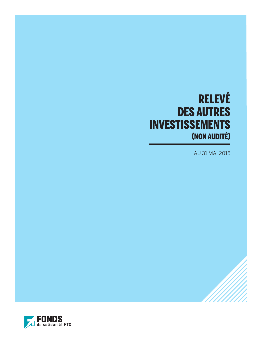# RELEVÉ DES AUTRES INVESTISSEMENTS (NON AUDITÉ)

AU 31 MAI 2015

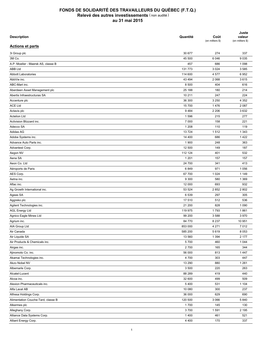| <b>Description</b>                 | Quantité | Coût<br>(en milliers \$) | Juste<br>valeur<br>(en milliers \$) |
|------------------------------------|----------|--------------------------|-------------------------------------|
| <b>Actions et parts</b>            |          |                          |                                     |
| 3i Group plc                       | 30 677   | 274                      | 337                                 |
| 3M Co.                             | 45 500   | 6 0 4 6                  | 9035                                |
| A.P. Moeller - Maersk AS, classe B | 457      | 686                      | 1 0 9 8                             |
| <b>ABB Ltd</b>                     | 131773   | 3 0 24                   | 3585                                |
| <b>Abbott Laboratories</b>         | 114 600  | 4577                     | 6952                                |
| AbbVie inc.                        | 43 4 94  | 2 0 6 8                  | 3615                                |
| ABC-Mart inc.                      | 8 500    | 404                      | 616                                 |
| Aberdeen Asset Management plc      | 25 188   | 180                      | 214                                 |
| Abertis Infraestructuras SA        | 10 211   | 247                      | 224                                 |
| Accenture plc                      | 36 300   | 3 2 5 0                  | 4 3 5 2                             |
| <b>ACE Ltd</b>                     | 15700    | 1476                     | 2 0 8 7                             |
| Actavis plc                        | 9484     | 2 2 0 6                  | 3632                                |
| <b>Actelion Ltd</b>                | 1596     | 215                      | 277                                 |
| Activision Blizzard inc.           | 7 0 0 0  | 158                      | 221                                 |
| Adecco SA                          | 1 2 0 8  | 110                      | 119                                 |
| Adidas AG                          | 13724    | 1512                     | 1 3 4 3                             |
| Adobe Systems inc.                 | 14 400   | 686                      | 1422                                |
| Advance Auto Parts inc.            | 1 900    | 248                      | 363                                 |
| Advantest Corp.                    | 12 500   | 149                      | 187                                 |
| Aegon NV                           | 112 124  | 401                      | 532                                 |
| Aena SA                            | 1 2 0 1  | 157                      | 157                                 |
| Aeon Co. Ltd                       | 24 700   | 341                      | 413                                 |
| Aéroports de Paris                 | 6849     | 971                      | 1 0 5 6                             |
| AES Corp.                          | 67 700   | 1 0 24                   | 1 1 4 9                             |
| Aetna inc.                         | 9 3 0 0  | 580                      | 1 3 6 9                             |
| Aflac inc.                         | 12 000   | 693                      | 932                                 |
| Ag Growth International inc.       | 53 524   | 2852                     | 2 8 0 2                             |
| Ageas SA                           | 6539     | 297                      | 305                                 |
| Aggreko plc                        | 17 510   | 512                      | 536                                 |
| Agilent Technologies inc.          | 21 200   | 828                      | 1 0 9 0                             |
| <b>AGL Energy Ltd</b>              | 119 975  | 1793                     | 1861                                |
| Agnico Eagle Mines Ltd             | 99 200   | 3588                     | 3970                                |
| Agrium inc.                        | 84 770   | 8 2 3 7                  | 10 951                              |
| AIA Group Ltd                      | 853 000  | 4 2 7 1                  | 7012                                |
| Air Canada                         | 585 200  | 5619                     | 8 0 5 3                             |
| Air Liquide SA                     | 13 560   | 1 3 9 4                  | 2 177                               |
| Air Products & Chemicals inc.      | 5700     | 460                      | 1 0 4 4                             |
| Airgas inc.                        | 2700     | 165                      | 344                                 |
| Ajinomoto Co. inc.                 | 56 000   | 813                      | 1447                                |
| Akamai Technologies inc.           | 4700     | 303                      | 447                                 |
| Akzo Nobel NV                      | 13 290   | 880                      | 1 2 6 1                             |
|                                    |          |                          |                                     |
| Albemarle Corp.                    | 3 500    | 220                      | 263                                 |
| Alcatel-Lucent                     | 88 289   | 419                      | 440                                 |
| Alcoa inc.                         | 32 600   | 499                      | 509                                 |
| Alexion Pharmaceuticals inc.       | 5400     | 531                      | 1 1 0 4                             |
| Alfa Laval AB                      | 10 080   | 300                      | 237                                 |
| Alfresa Holdings Corp.             | 36 000   | 629                      | 690                                 |
| Alimentation Couche-Tard, classe B | 120 500  | 3 0 6 6                  | 5840                                |
| Alkermes plc                       | 1700     | 145                      | 130                                 |
| Alleghany Corp.                    | 3700     | 1591                     | 2 1 9 5                             |
| Alliance Data Systems Corp.        | 1400     | 461                      | 521                                 |
| Alliant Energy Corp.               | 4 4 0 0  | 170                      | 337                                 |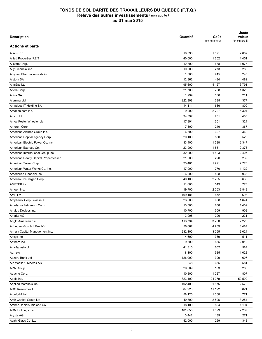| <b>Description</b>                      | Quantité | Coût<br>(en milliers \$) | Juste<br>valeur<br>(en milliers \$) |
|-----------------------------------------|----------|--------------------------|-------------------------------------|
| <b>Actions et parts</b>                 |          |                          |                                     |
| Allianz SE                              | 10 593   | 1691                     | 2 0 8 2                             |
| <b>Allied Properties REIT</b>           | 40 000   | 1 602                    | 1451                                |
| Allstate Corp.                          | 12 800   | 638                      | 1076                                |
| Ally Financial inc.                     | 10 000   | 273                      | 283                                 |
| Alnylam Pharmaceuticals inc.            | 1 500    | 245                      | 245                                 |
| Alstom SA                               | 12 3 62  | 434                      | 482                                 |
| AltaGas Ltd                             | 95 600   | 4 1 2 7                  | 3791                                |
| Altera Corp.                            | 21700    | 758                      | 1 3 2 3                             |
| Altice SA                               | 1 2 9 9  | 100                      | 211                                 |
| Alumina Ltd                             | 222 398  | 335                      | 377                                 |
| Amadeus IT Holding SA                   | 14 111   | 666                      | 800                                 |
| Amazon.com inc.                         | 9 9 0 0  | 2727                     | 5 3 0 4                             |
| Amcor Ltd                               | 34 892   | 231                      | 483                                 |
| Amec Foster Wheeler plc                 | 17891    | 301                      | 324                                 |
| Ameren Corp.                            | 7 300    | 246                      | 367                                 |
| American Airlines Group inc.            | 6800     | 307                      | 360                                 |
| American Capital Agency Corp.           | 20 100   | 530                      | 523                                 |
| American Electric Power Co. inc.        | 33 400   | 1538                     | 2 3 4 7                             |
| American Express Co.                    | 23 900   | 1881                     | 2 3 7 8                             |
| American International Group inc.       | 32 900   | 1 5 2 3                  | 2 4 0 7                             |
| American Realty Capital Properties inc. | 21 600   | 220                      | 239                                 |
| American Tower Corp.                    | 23 4 8 1 | 1991                     | 2720                                |
| American Water Works Co. inc.           | 17 000   | 770                      | 1 1 2 2                             |
|                                         |          | 508                      |                                     |
| Ameriprise Financial inc.               | 6 0 0 0  |                          | 933                                 |
| AmerisourceBergen Corp.                 | 40 100   | 2785                     | 5 6 3 5                             |
| AMETEK inc.                             | 11 600   | 519                      | 778                                 |
| Amgen inc.                              | 19 700   | 2 0 6 3                  | 3843                                |
| <b>AMP Ltd</b>                          | 109 181  | 572                      | 695                                 |
| Amphenol Corp., classe A                | 23 500   | 988                      | 1674                                |
| Anadarko Petroleum Corp.                | 13 500   | 858                      | 1409                                |
| Analog Devices inc.                     | 10 700   | 509                      | 908                                 |
| Andritz AG                              | 3 0 0 8  | 206                      | 231                                 |
| Anglo American plc                      | 113 734  | 3700                     | 2 2 2 3                             |
| Anheuser-Busch InBev NV                 | 56 662   | 4769                     | 8 4 8 7                             |
| Annaly Capital Management inc.          | 232 100  | 3 0 6 5                  | 3 0 2 4                             |
| Ansys inc.                              | 4 600    | 389                      | 511                                 |
| Anthem inc.                             | 9600     | 865                      | 2012                                |
| Antofagasta plc                         | 41 310   | 602                      | 587                                 |
| Aon plc                                 | 8 100    | 535                      | 1 0 2 3                             |
| Aozora Bank Ltd                         | 126 000  | 399                      | 607                                 |
| AP Moeller - Maersk AS                  | 248      | 655                      | 581                                 |
| <b>APA Group</b>                        | 29 509   | 163                      | 263                                 |
| Apache Corp.                            | 10 800   | 1 0 2 7                  | 807                                 |
| Apple inc.                              | 323 400  | 24 279                   | 52 592                              |
| Applied Materials inc.                  | 102 400  | 1875                     | 2 5 7 3                             |
| <b>ARC Resources Ltd</b>                | 387 220  | 11 122                   | 8821                                |
| ArcelorMittal                           | 58 120   | 1 0 6 0                  | 771                                 |
| Arch Capital Group Ltd                  | 40 800   | 2 5 9 6                  | 3 2 5 4                             |
| Archer-Daniels-Midland Co.              | 18 100   | 594                      | 1 1 9 4                             |
| ARM Holdings plc                        | 101 655  | 1699                     | 2 2 3 7                             |
| Aryzta AG                               | 3 4 4 2  | 139                      | 271                                 |
| Asahi Glass Co. Ltd                     | 42 000   | 269                      | 343                                 |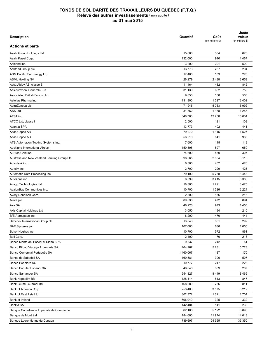| <b>Description</b>                          | Quantité | Coût<br>(en milliers \$) | Juste<br>valeur<br>(en milliers \$) |
|---------------------------------------------|----------|--------------------------|-------------------------------------|
| <b>Actions et parts</b>                     |          |                          |                                     |
| Asahi Group Holdings Ltd                    | 15 600   | 304                      | 625                                 |
| Asahi Kasei Corp.                           | 132 000  | 910                      | 1467                                |
| Ashland inc.                                | 3 200    | 291                      | 509                                 |
| Ashtead Group plc                           | 13773    | 287                      | 294                                 |
| ASM Pacific Technology Ltd                  | 17 400   | 183                      | 226                                 |
| <b>ASML Holding NV</b>                      | 26 279   | 2 4 8 8                  | 3659                                |
| Assa Abloy AB, classe B                     | 11 4 64  | 482                      | 842                                 |
| Assicurazioni Generali SPA                  | 31 139   | 602                      | 750                                 |
| Associated British Foods plc                | 9850     | 188                      | 568                                 |
| Astellas Pharma inc.                        | 131 800  | 1527                     | 2 4 0 2                             |
| AstraZeneca plc                             | 71 946   | 5 0 5 3                  | 5992                                |
| <b>ASX Ltd</b>                              | 31 562   | 1 1 6 8                  | 1 2 5 5                             |
| AT&T inc.                                   | 348 700  | 12 25 6                  | 15 0 34                             |
| ATCO Ltd, classe I                          | 2 500    | 121                      | 109                                 |
| Atlantia SPA                                | 13773    | 402                      | 441                                 |
| Atlas Copco AB                              | 79 270   | 1 1 1 6                  | 1527                                |
| Atlas Copco AB                              | 56 210   | 841                      | 966                                 |
| ATS Automation Tooling Systems inc.         | 7 600    | 115                      | 119                                 |
| Auckland International Airport              | 150 895  | 597                      | 650                                 |
| AuRico Gold inc.                            | 74 600   | 460                      | 307                                 |
| Australia and New Zealand Banking Group Ltd | 98 065   | 2854                     | 3 1 1 0                             |
| Autodesk inc.                               | 6 300    | 402                      | 426                                 |
| Autoliv inc.                                | 2700     | 299                      | 425                                 |
| Automatic Data Processing inc.              | 79 100   | 5738                     | 8 4 4 3                             |
| Autozone inc.                               | 6 3 9 9  | 3415                     | 5 3 8 0                             |
| Avago Technologies Ltd                      | 18 800   | 1 2 9 1                  | 3 4 7 5                             |
| AvalonBay Communities inc.                  | 10 700   | 1526                     | 2 2 2 4                             |
| Avery Dennison Corp.                        | 2800     | 156                      | 216                                 |
| Aviva plc                                   | 89 638   | 472                      | 894                                 |
| Axa SA                                      | 46 223   | 973                      | 1450                                |
|                                             |          |                          |                                     |
| Axis Capital Holdings Ltd                   | 3 0 5 0  | 194                      | 210                                 |
| B/E Aerospace inc.                          | 6 200    | 470                      | 444                                 |
| Babcock International Group plc             | 13 643   | 301                      | 292                                 |
| <b>BAE Systems plc</b>                      | 107 080  | 686                      | 1 0 5 0                             |
| Baker Hughes inc.                           | 10 700   | 572                      | 861                                 |
| Ball Corp.                                  | 2 4 0 0  | 70                       | 213                                 |
| Banca Monte dei Paschi di Siena SPA         | 9 3 3 7  | 242                      | 51                                  |
| Banco Bilbao Vizcaya Argentaria SA          | 464 967  | 5 2 8 1                  | 5723                                |
| Banco Comercial Português SA                | 1460067  | 187                      | 170                                 |
| Banco de Sabadell SA                        | 160 581  | 396                      | 507                                 |
| Banco Popolare SC                           | 10777    | 247                      | 226                                 |
| Banco Popular Espanol SA                    | 46 646   | 389                      | 287                                 |
| Banco Santander SA                          | 954 327  | 8 4 4 9                  | 8 4 6 9                             |
| Bank Hapoalim BM                            | 128 414  | 813                      | 847                                 |
| Bank Leumi Le-Israel BM                     | 168 280  | 756                      | 811                                 |
| Bank of America Corp.                       | 253 400  | 3575                     | 5 2 1 9                             |
| Bank of East Asia Ltd                       | 302 372  | 1621                     | 1704                                |
| Bank of Ireland                             | 696 940  | 325                      | 332                                 |
| Bankia SA                                   | 142 484  | 141                      | 230                                 |
| Banque Canadienne Impériale de Commerce     | 62 100   | 5 1 2 2                  | 5893                                |
| Banque de Montréal                          | 184 600  | 11 974                   | 14 013                              |
| Banque Laurentienne du Canada               | 739 697  | 24 965                   | 35 350                              |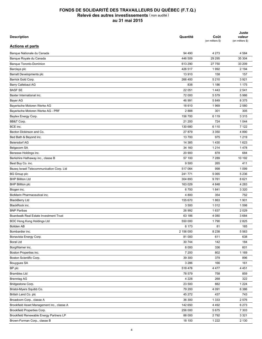| <b>Description</b>                         | Quantité  | Coût<br>(en milliers \$) | Juste<br>valeur<br>(en milliers \$) |
|--------------------------------------------|-----------|--------------------------|-------------------------------------|
| <b>Actions et parts</b>                    |           |                          |                                     |
| Banque Nationale du Canada                 | 94 490    | 4 2 7 3                  | 4 5 8 4                             |
| Banque Royale du Canada                    | 446 509   | 29 29 5                  | 35 304                              |
| <b>Banque Toronto-Dominion</b>             | 613 290   | 27 750                   | 33 209                              |
| Barclays plc                               | 426 517   | 1992                     | 2 1 9 4                             |
| Barratt Developments plc                   | 13 910    | 158                      | 157                                 |
| Barrick Gold Corp.                         | 266 400   | 5 2 1 0                  | 3 9 2 1                             |
| <b>Barry Callebaut AG</b>                  | 838       | 1 1 8 6                  | 1 1 7 5                             |
| <b>BASF SE</b>                             | 22 051    | 1443                     | 2 5 4 1                             |
| Baxter International inc.                  | 72 000    | 5 5 7 9                  | 5986                                |
| Bayer AG                                   | 46 991    | 5849                     | 8 3 7 5                             |
| Bayerische Motoren Werke AG                | 18 610    | 1969                     | 2 5 8 0                             |
| Bayerische Motoren Werke AG - PRF          | 2888      | 301                      | 305                                 |
| Baytex Energy Corp.                        | 156 700   | 6 1 1 9                  | 3 3 1 5                             |
| BB&T Corp.                                 | 21 200    | 724                      | 1 0 4 4                             |
| BCE inc.                                   | 130 680   | 6 1 1 0                  | 7 1 2 2                             |
| Becton Dickinson and Co.                   | 27 879    | 3 3 5 0                  | 4 8 9 0                             |
| Bed Bath & Beyond inc.                     | 13700     | 975                      | 1 2 1 9                             |
| <b>Beiersdorf AG</b>                       | 14 3 8 5  | 1430                     | 1623                                |
| Belgacom SA                                | 34 160    | 1 2 1 4                  | 1478                                |
| Benesse Holdings inc.                      | 20 900    | 878                      | 684                                 |
| Berkshire Hathaway inc., classe B          | 57 100    | 7 2 8 9                  | 10 192                              |
| Best Buy Co. inc.                          | 9 500     | 265                      | 411                                 |
| Bezeq Israeli Telecommunication Corp. Ltd  | 517 064   | 998                      | 1 0 9 9                             |
| <b>BG Group plc</b>                        | 241 771   | 5 0 6 5                  | 5 2 3 6                             |
| <b>BHP Billiton Ltd</b>                    | 304 893   | 9761                     | 8621                                |
| <b>BHP Billiton plc</b>                    | 163 029   | 4 8 4 8                  | 4 2 8 3                             |
|                                            | 6700      | 1841                     | 3 3 2 0                             |
| Biogen inc.                                |           |                          |                                     |
| BioMarin Pharmaceutical inc.               | 4 800     | 354                      | 752                                 |
| <b>BlackBerry Ltd</b>                      | 155 670   | 1863                     | 1 9 0 1                             |
| BlackRock inc.                             | 3 500     | 1012                     | 1598                                |
| <b>BNP Paribas</b>                         | 26 992    | 1637                     | 2 0 2 9                             |
| Boardwalk Real Estate Investment Trust     | 63 186    | 4 0 8 0                  | 3684                                |
| BOC Hong Kong Holdings Ltd                 | 550 000   | 1790                     | 2825                                |
| <b>Boliden AB</b>                          | 6 173     | 81                       | 165                                 |
| Bombardier inc.                            | 2 156 000 | 8 2 3 8                  | 5 5 6 3                             |
| Bonavista Energy Corp.                     | 81 000    | 611                      | 638                                 |
| <b>Boral Ltd</b>                           | 30 744    | 142                      | 184                                 |
| BorgWarner inc.                            | 8 0 0 0   | 336                      | 601                                 |
| Boston Properties inc.                     | 7 200     | 802                      | 1 1 6 9                             |
| Boston Scientific Corp.                    | 39 300    | 379                      | 896                                 |
| Bouygues SA                                | 3 2 8 6   | 166                      | 161                                 |
| BP plc                                     | 518 478   | 4 4 7 7                  | 4 4 5 1                             |
| <b>Brambles Ltd</b>                        | 78 579    | 758                      | 859                                 |
| <b>Brenntag AG</b>                         | 4 2 2 8   | 268                      | 322                                 |
| Bridgestone Corp.                          | 23 500    | 882                      | 1 2 2 4                             |
| Bristol-Myers Squibb Co.                   | 79 200    | 4 0 9 1                  | 6 3 8 6                             |
| British Land Co. plc                       | 45 27 2   | 437                      | 743                                 |
| Broadcom Corp., classe A                   | 36 300    | 1 3 3 3                  | 2 5 7 6                             |
| Brookfield Asset Management inc., classe A | 142 650   | 4 4 9 2                  | 6 2 7 3                             |
| Brookfield Properties Corp.                | 256 000   | 5675                     | 7 3 0 3                             |
| Brookfield Renewable Energy Partners LP    | 88 000    | 2792                     | 3 3 2 1                             |
| Brown-Forman Corp., classe B               | 18 100    | 1 2 2 2                  | 2 1 3 0                             |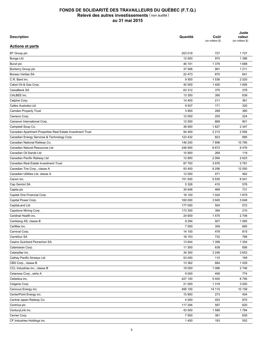| <b>Description</b>                                         | Quantité | Coût<br>(en milliers \$) | Juste<br>valeur<br>(en milliers \$) |
|------------------------------------------------------------|----------|--------------------------|-------------------------------------|
| <b>Actions et parts</b>                                    |          |                          |                                     |
| <b>BT</b> Group plc                                        | 203 019  | 727                      | 1727                                |
| <b>Bunge Ltd</b>                                           | 12 000   | 970                      | 1 3 8 6                             |
| Bunzl plc                                                  | 46 741   | 1 3 7 9                  | 1688                                |
| Burberry Group plc                                         | 37 506   | 991                      | 1 2 1 1                             |
| <b>Bureau Veritas SA</b>                                   | 22 473   | 670                      | 641                                 |
| C.R. Bard inc.                                             | 9 500    | 1536                     | 2 0 2 0                             |
| Cabot Oil & Gas Corp.                                      | 40 000   | 1400                     | 1695                                |
| CaixaBank SA                                               | 63 312   | 375                      | 378                                 |
| CALBEE inc.                                                | 13 300   | 390                      | 639                                 |
| Calpine Corp.                                              | 14 400   | 211                      | 361                                 |
| Caltex Australia Ltd                                       | 9937     | 171                      | 320                                 |
| <b>Camden Property Trust</b>                               | 3 9 0 0  | 289                      | 365                                 |
| Cameco Corp.                                               | 12 000   | 255                      | 224                                 |
| Cameron International Corp.                                | 12 500   | 669                      | 801                                 |
| Campbell Soup Co.                                          | 38 900   | 1827                     | 2 3 4 7                             |
| Canadian Apartment Properties Real Estate Investment Trust | 94 400   | 2 2 1 3                  | 2 5 9 4                             |
| Canadian Energy Services & Technology Corp.                | 123 432  | 823                      | 895                                 |
| Canadian National Railway Co.                              | 146 200  | 7898                     | 10785                               |
| Canadian Natural Resources Ltd                             | 246 900  | 8673                     | 9476                                |
| Canadian Oil Sands Ltd                                     | 10 900   | 269                      | 119                                 |
| Canadian Pacific Railway Ltd                               | 12 800   | 2 0 9 4                  | 2 6 2 3                             |
| Canadian Real Estate Investment Trust                      | 87 700   | 3976                     | 3781                                |
| Canadian Tire Corp., classe A                              | 93 450   | 9 2 5 6                  | 12 050                              |
|                                                            | 12 500   | 471                      | 462                                 |
| Canadian Utilities Ltd, classe A                           |          |                          |                                     |
| Canon inc.                                                 | 151 500  | 5 5 3 5                  | 6541                                |
| Cap Gemini SA                                              | 5 3 2 6  | 410                      | 576                                 |
| Capita plc                                                 | 30 646   | 469                      | 731                                 |
| Capital One Financial Corp.                                | 16 100   | 1 0 2 4                  | 1679                                |
| Capital Power Corp.                                        | 160 000  | 3 9 4 5                  | 3848                                |
| CapitaLand Ltd                                             | 177 000  | 504                      | 572                                 |
| Capstone Mining Corp.                                      | 173 300  | 394                      | 210                                 |
| Cardinal Health inc.                                       | 24 600   | 1575                     | 2708                                |
| Carlsberg AS, classe B                                     | 9 2 9 4  | 927                      | 1 0 6 5                             |
| CarMax inc.                                                | 7 500    | 359                      | 665                                 |
| Carnival Corp.                                             | 14 100   | 478                      | 815                                 |
| Carrefour SA                                               | 18 153   | 732                      | 768                                 |
| Casino Guichard Perrachon SA                               | 13 844   | 1 3 9 9                  | 1 3 5 4                             |
| Catamaran Corp.                                            | 11 500   | 638                      | 856                                 |
| Caterpillar inc.                                           | 34 300   | 3 2 4 6                  | 3653                                |
| Cathay Pacific Airways Ltd                                 | 53 000   | 110                      | 169                                 |
| CBS Corp., classe B                                        | 13 3 62  | 684                      | 1 0 2 9                             |
| CCL Industries inc., classe B                              | 19 000   | 1 0 8 6                  | 2746                                |
| Celanese Corp., série A                                    | 9 0 0 0  | 456                      | 774                                 |
| Celestica inc.                                             | 427 100  | 5 4 0 0                  | 6795                                |
| Celgene Corp.                                              | 21 000   | 1 3 1 9                  | 3 0 0 0                             |
| Cenovus Energy inc.                                        | 495 100  | 14 115                   | 10 159                              |
| CenterPoint Energy inc.                                    | 15 900   | 273                      | 404                                 |
| Central Japan Railway Co.                                  | 4 0 0 0  | 453                      | 870                                 |
| Centrica plc                                               | 117 294  | 597                      | 620                                 |
| CenturyLink inc.                                           | 43 000   | 1589                     | 1784                                |
| Cerner Corp.                                               | 7 500    | 381                      | 630                                 |
| CF Industries Holdings inc.                                | 1400     | 193                      | 552                                 |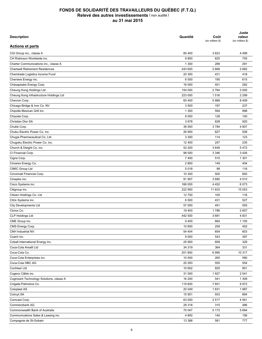| <b>Description</b>                       | Quantité | Coût<br>(en milliers \$) | Juste<br>valeur<br>(en milliers \$) |
|------------------------------------------|----------|--------------------------|-------------------------------------|
| <b>Actions et parts</b>                  |          |                          |                                     |
| CGI Group inc., classe A                 | 85 400   | 3823                     | 4 4 9 9                             |
| CH Robinson Worldwide inc.               | 9800     | 625                      | 755                                 |
| Charter Communications inc., classe A    | 1 300    | 289                      | 291                                 |
| <b>Chartwell Retirement Residences</b>   | 243 600  | 2668                     | 2682                                |
| Chemtrade Logistics Income Fund          | 20 300   | 431                      | 418                                 |
| Cheniere Energy inc.                     | 6 500    | 195                      | 615                                 |
| Chesapeake Energy Corp.                  | 16 000   | 401                      | 282                                 |
| Cheung Kong Holdings Ltd                 | 154 000  | 2764                     | 3 0 0 0                             |
| Cheung Kong Infrastructure Holdings Ltd  | 223 000  | 1516                     | 2 2 9 9                             |
| Chevron Corp.                            | 65 400   | 5989                     | 8 4 0 9                             |
| Chicago Bridge & Iron Co. NV             | 3 500    | 197                      | 237                                 |
| Chipotle Mexican Grill inc.              | 1 300    | 594                      | 998                                 |
| Chiyoda Corp.                            | 9 0 0 0  | 128                      | 100                                 |
| Christian Dior SA                        | 3678     | 628                      | 920                                 |
| Chubb Corp.                              | 39 500   | 3784                     | 4 807                               |
| Chubu Electric Power Co. inc.            | 26 900   | 627                      | 508                                 |
| Chugai Pharmaceutical Co. Ltd            | 3 3 0 0  | 114                      | 123                                 |
| Chugoku Electric Power Co. inc.          | 12 400   | 257                      | 235                                 |
| Church & Dwight Co. inc.                 | 52 200   | 3649                     | 5472                                |
| CI Financial Corp.                       | 98 000   | 3 3 4 6                  | 3 4 2 6                             |
| Cigna Corp.                              | 7 400    | 515                      | 1 3 0 1                             |
|                                          | 2800     | 149                      | 404                                 |
| Cimarex Energy Co.<br>CIMIC Group Ltd    | 5018     | 98                       | 116                                 |
|                                          | 10 300   | 500                      | 650                                 |
| Cincinnati Financial Corp.               |          |                          |                                     |
| Cineplex inc.                            | 91 957   | 3680                     | 4510                                |
| Cisco Systems inc.                       | 166 000  | 4 4 5 2                  | 6073                                |
| Citigroup inc.                           | 222 993  | 11833                    | 15 053                              |
| Citizen Holdings Co. Ltd                 | 12 700   | 105                      | 116                                 |
| Citrix Systems inc.                      | 6 500    | 431                      | 527                                 |
| <b>City Developments Ltd</b>             | 57 000   | 491                      | 555                                 |
| Clorox Co.                               | 19 400   | 1786                     | 2 607                               |
| CLP Holdings Ltd                         | 442 500  | 3681                     | 4 8 3 1                             |
| CME Group inc.                           | 9400     | 664                      | 1 1 0 5                             |
| CMS Energy Corp.                         | 10 600   | 258                      | 452                                 |
| <b>CNH Industrial NV</b>                 | 54 404   | 654                      | 603                                 |
| Coach inc.                               | 9 0 0 0  | 543                      | 397                                 |
| Cobalt International Energy inc.         | 25 900   | 609                      | 328                                 |
| Coca-Cola Amatil Ltd                     | 34 319   | 364                      | 331                                 |
| Coca-Cola Co.                            | 201 800  | 6990                     | 10 317                              |
| Coca-Cola Enterprises inc.               | 10 500   | 265                      | 580                                 |
| Coca-Cola HBC AG                         | 20 29 3  | 555                      | 554                                 |
| Cochlear Ltd                             | 10 652   | 825                      | 901                                 |
| Cogeco Câble inc.                        | 31 000   | 1927                     | 2 0 4 1                             |
| Cognizant Technology Solutions, classe A | 16 200   | 541                      | 1 3 0 9                             |
| Colgate-Palmolive Co.                    | 119 600  | 7601                     | 9972                                |
| Coloplast AS                             | 20 049   | 1831                     | 1887                                |
| Colruyt SA                               | 15 951   | 933                      | 894                                 |
| Comcast Corp.                            | 63 000   | 2517                     | 4 5 61                              |
| Commerzbank AG                           | 29 318   | 315                      | 486                                 |
| Commonwealth Bank of Australia           | 70 047   | 5 1 7 3                  | 5 6 9 4                             |
| Communications Sales & Leasing inc.      | 4 800    | 140                      | 156                                 |
| Compagnie de St-Gobain                   | 13 388   | 581                      | 777                                 |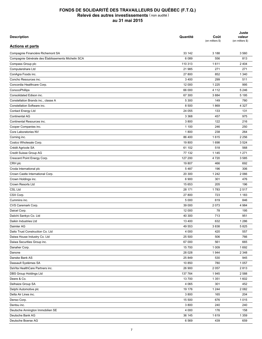| <b>Description</b>                                 | Quantité          | Coût<br>(en milliers \$) | Juste<br>valeur<br>(en milliers \$) |
|----------------------------------------------------|-------------------|--------------------------|-------------------------------------|
| <b>Actions et parts</b>                            |                   |                          |                                     |
| Compagnie Financière Richemont SA                  | 33 142            | 3 188                    | 3 5 6 0                             |
| Compagnie Générale des Établissements Michelin SCA | 6 0 8 9           | 556                      | 813                                 |
| Compass Group plc                                  | 110 313           | 1611                     | 2 4 0 4                             |
| Computershare Ltd                                  | 21 985            | 271                      | 271                                 |
| ConAgra Foods inc.                                 | 27 800            | 852                      | 1 3 4 0                             |
| Concho Resources inc.                              | 3 4 0 0           | 299                      | 511                                 |
| Concordia Healthcare Corp.                         | 12 000            | 1 2 2 5                  | 995                                 |
| ConocoPhillips                                     | 66 000            | 4 1 1 2                  | 5 2 4 6                             |
| Consolidated Edison inc.                           | 67 300            | 3884                     | 5 1 9 5                             |
| Constellation Brands inc., classe A                | 5 3 0 0           | 149                      | 780                                 |
| Constellation Software inc.                        | 8 500             | 1869                     | 4 3 2 7                             |
| <b>Contact Energy Ltd</b>                          | 24 055            | 133                      | 131                                 |
| Continental AG                                     | 3 3 6 8           | 457                      | 975                                 |
| Continental Resources inc.                         | 3800              | 122                      | 216                                 |
| Cooper Companies inc.                              | 1 100             | 246                      | 250                                 |
| Core Laboratories NV                               | 1800              | 238                      | 264                                 |
| Corning inc.                                       | 86 400            | 1615                     | 2 2 5 6                             |
| Costco Wholesale Corp.                             | 19800             | 1698                     | 3 5 24                              |
| Crédit Agricole SA                                 | 61 102            | 518                      | 568                                 |
| Credit Suisse Group AG                             | 77 132            | 1 1 4 5                  | 1 2 7 1                             |
| Crescent Point Energy Corp.                        | 127 200           | 4720                     | 3585                                |
| CRH plc                                            | 19 807            | 466                      | 692                                 |
| Croda International plc                            | 5487              | 196                      | 306                                 |
| Crown Castle International Corp.                   | 20 300            | 1 2 4 2                  | 2 0 6 6                             |
| Crown Holdings inc.                                | 6 900             | 301                      | 476                                 |
| Crown Resorts Ltd                                  | 15 653            | 205                      | 196                                 |
| <b>CSL Ltd</b>                                     | 28 171            | 1783                     | 2517                                |
| CSX Corp.                                          | 27 800            | 723                      | 1 1 8 3                             |
| Cummins inc.                                       | 5 0 0 0           | 619                      | 846                                 |
| CVS Caremark Corp.                                 | 39 000            | 2073                     | 4 9 8 4                             |
| Daicel Corp.                                       | 12 000            | 78                       | 195                                 |
| Daiichi Sankyo Co. Ltd                             | 40 300            | 713                      | 951                                 |
|                                                    |                   |                          |                                     |
| Daikin Industries Ltd                              | 13 400            | 632                      | 1 2 8 6                             |
| Daimler AG                                         | 49 553<br>4 0 0 0 | 3838<br>420              | 5825<br>557                         |
| Daito Trust Construction Co. Ltd                   |                   |                          |                                     |
| Daiwa House Industry Co. Ltd                       | 25 500            | 506                      | 766                                 |
| Daiwa Securities Group inc.                        | 67 000            | 561                      | 665                                 |
| Danaher Corp.                                      | 15 700            | 1 0 0 9                  | 1692                                |
| Danone                                             | 28 0 28           | 1944                     | 2 3 4 8                             |
| Danske Bank AS                                     | 25 849            | 530                      | 945                                 |
| Dassault Systèmes SA                               | 10 850            | 780                      | 1 0 5 7                             |
| DaVita HealthCare Partners inc.                    | 26 900            | 2 0 5 7                  | 2813                                |
| DBS Group Holdings Ltd                             | 137 764           | 1945                     | 2 5 8 8                             |
| Deere & Co.                                        | 13 700            | 1 3 5 1                  | 1 602                               |
| Delhaize Group SA                                  | 4 0 6 5           | 301                      | 452                                 |
| Delphi Automotive plc                              | 19 176            | 1 2 4 4                  | 2 0 8 2                             |
| Delta Air Lines inc.                               | 3 800             | 165                      | 204                                 |
| Denso Corp.                                        | 15 500            | 676                      | 1015                                |
| Dentsu inc.                                        | 3 800             | 240                      | 240                                 |
| Deutsche Annington Immobilien SE                   | 4 0 0 0           | 176                      | 158                                 |
| Deutsche Bank AG                                   | 36 145            | 1619                     | 1 3 5 9                             |
| Deutsche Boerse AG                                 | 6 5 6 9           | 439                      | 659                                 |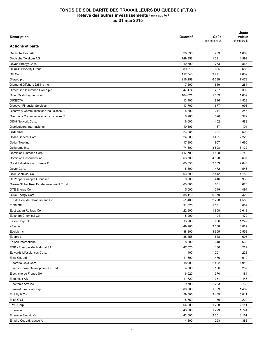| <b>Description</b>                        | Quantité | Coût<br>(en milliers \$) | Juste<br>valeur<br>(en milliers \$) |
|-------------------------------------------|----------|--------------------------|-------------------------------------|
| <b>Actions et parts</b>                   |          |                          |                                     |
| Deutsche Post AG                          | 28 830   | 753                      | 1 0 8 7                             |
| Deutsche Telekom AG                       | 149 358  | 1 0 9 1                  | 1599                                |
| Devon Energy Corp.                        | 10 600   | 773                      | 863                                 |
| <b>DEXUS Property Group</b>               | 89 518   | 605                      | 685                                 |
| DH Corp.                                  | 112745   | 3 4 7 1                  | 4 6 0 2                             |
| Diageo plc                                | 216 259  | 6 2 8 9                  | 7478                                |
| Diamond Offshore Drilling inc.            | 7 500    | 519                      | 284                                 |
| Direct Line Insurance Group plc           | 47 174   | 287                      | 303                                 |
| DirectCash Payments inc.                  | 104 021  | 1589                     | 1 609                               |
| <b>DIRECTV</b>                            | 13 400   | 846                      | 1523                                |
| <b>Discover Financial Services</b>        | 13 700   | 677                      | 996                                 |
| Discovery Communications inc., classe A   | 5 800    | 241                      | 246                                 |
| Discovery Communications inc., classe C   | 8 2 0 0  | 326                      | 322                                 |
| DISH Network Corp.                        | 6 600    | 402                      | 583                                 |
| Distribuidora Internacional               | 10 507   | 87                       | 104                                 |
| <b>DNB ASA</b>                            | 23 285   | 391                      | 509                                 |
| Dollar General Corp.                      | 24 500   | 1431                     | 2 2 2 0                             |
| Dollar Tree inc.                          | 17800    | 957                      | 1666                                |
| Dollarama inc.                            | 74 500   | 3898                     | 5 1 3 2                             |
|                                           |          |                          | 2740                                |
| Dominion Diamond Corp.                    | 117 700  | 1808                     |                                     |
| Dominion Resources inc.                   | 63 700   | 4 3 2 0                  | 5 607                               |
| Dorel Industries inc., classe B           | 60 850   | 2 183                    | 2 0 4 3                             |
| Dover Corp.                               | 5 800    | 472                      | 546                                 |
| Dow Chemical Co.                          | 63 899   | 2 4 4 2                  | 4 1 5 3                             |
| Dr Pepper Snapple Group inc.              | 9800     | 416                      | 938                                 |
| Dream Global Real Estate Investment Trust | 63 600   | 631                      | 628                                 |
| DTE Energy Co.                            | 5 0 0 0  | 249                      | 494                                 |
| Duke Energy Corp.                         | 88 110   | 6 3 7 9                  | 8 3 2 9                             |
| E.I. du Pont de Nemours and Co.           | 51 400   | 2798                     | 4 5 5 6                             |
| E.ON SE                                   | 91 670   | 1631                     | 839                                 |
| East Japan Railway Co.                    | 22 900   | 1808                     | 2618                                |
| Eastman Chemical Co.                      | 5 0 0 0  | 194                      | 479                                 |
| Eaton Corp. plc                           | 13 900   | 956                      | 1 2 4 2                             |
| eBay inc.                                 | 49 900   | 3 0 6 8                  | 3822                                |
| Ecolab inc.                               | 38 800   | 3 9 5 5                  | 5 5 5 3                             |
| Edenred                                   | 38 458   | 648                      | 605                                 |
| Edison International                      | 8 3 0 0  | 348                      | 630                                 |
| EDP - Energias de Portugal SA             | 47 0 20  | 180                      | 229                                 |
| Edwards Lifesciences Corp.                | 1 4 0 0  | 201                      | 228                                 |
| Eisai Co. Ltd                             | 11 600   | 476                      | 910                                 |
| Eldorado Gold Corp.                       | 318 900  | 2422                     | 1910                                |
| Electric Power Development Co. Ltd        | 4 800    | 166                      | 209                                 |
| Électricité de France SA                  | 6 0 20   | 370                      | 184                                 |
| Electrolux AB                             | 11 722   | 351                      | 446                                 |
| Electronic Arts inc.                      | 9700     | 223                      | 760                                 |
| Element Financial Corp.                   | 80 000   | 1 3 5 9                  | 1489                                |
| Eli Lilly & Co.                           | 59 000   | 3 4 6 9                  | 5811                                |
| Elisa OYJ                                 | 5759     | 130                      | 220                                 |
| <b>EMC Corp</b>                           | 64 200   | 1728                     | 2 1 1 1                             |
| Emera inc.                                | 43 000   | 1723                     | 1774                                |
| Emerson Electric Co.                      | 42 000   | 2651                     | 3 1 6 1                             |
| Empire Co. Ltd, classe A                  | 4 3 0 0  | 293                      | 383                                 |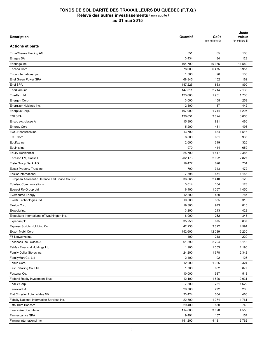| <b>Description</b>                                | Quantité | Coût<br>(en milliers \$) | Juste<br>valeur<br>(en milliers \$) |
|---------------------------------------------------|----------|--------------------------|-------------------------------------|
| <b>Actions et parts</b>                           |          |                          |                                     |
| Ems-Chemie Holding AG                             | 351      | 85                       | 186                                 |
| Enagas SA                                         | 3 4 3 4  | 84                       | 123                                 |
| Enbridge inc.                                     | 194 700  | 10 366                   | 11 580                              |
| Encana Corp.                                      | 378 000  | 6475                     | 5957                                |
| Endo International plc                            | 1 300    | 96                       | 136                                 |
| Enel Green Power SPA                              | 68 845   | 152                      | 162                                 |
| Enel SPA                                          | 147 225  | 863                      | 890                                 |
| EnerCare inc.                                     | 147 311  | 2 2 1 4                  | 2 1 3 6                             |
| Enerflex Ltd                                      | 123 000  | 1931                     | 1738                                |
| Energen Corp.                                     | 3 0 0 0  | 155                      | 259                                 |
| Energizer Holdings inc.                           | 2 500    | 187                      | 442                                 |
| Enerplus Corp.                                    | 107 900  | 1744                     | 1 2 9 7                             |
| <b>ENI SPA</b>                                    | 136 651  | 3624                     | 3 0 6 5                             |
| Ensco plc, classe A                               | 15 900   | 821                      | 466                                 |
| Entergy Corp.                                     | 5 200    | 431                      | 496                                 |
| EOG Resources inc.                                | 13700    | 684                      | 1516                                |
| EQT Corp.                                         | 8800     | 681                      | 935                                 |
| Equifax inc.                                      | 2 600    | 319                      | 326                                 |
| Equinix inc.                                      | 1970     | 414                      | 659                                 |
| <b>Equity Residential</b>                         | 25 700   | 1547                     | 2 3 8 5                             |
| Ericsson LM, classe B                             | 202 173  | 2622                     | 2827                                |
| Erste Group Bank AG                               | 19 477   | 620                      | 704                                 |
| Essex Property Trust inc.                         | 1700     | 343                      | 472                                 |
| <b>Essilor International</b>                      | 7 5 9 8  | 871                      | 1 1 5 6                             |
| European Aeronautic Defence and Space Co. NV      | 36 865   | 2 4 4 0                  | 3 1 2 8                             |
| <b>Eutelsat Communications</b>                    | 3 0 1 4  | 104                      | 128                                 |
| Everest Re Group Ltd                              | 6400     | 1 0 6 7                  | 1450                                |
| <b>Eversource Energy</b>                          | 12 800   | 480                      | 787                                 |
| Evertz Technologies Ltd                           | 19 300   | 335                      | 310                                 |
| Exelon Corp.                                      | 19 300   | 973                      | 815                                 |
| Expedia inc.                                      | 3 200    | 213                      | 428                                 |
| Expeditors International of Washington inc.       | 6 0 0 0  | 262                      | 343                                 |
|                                                   | 35 25 6  | 675                      | 837                                 |
| Experian plc                                      | 42 233   |                          | 4 5 9 4                             |
| Express Scripts Holdging Co.<br>Exxon Mobil Corp. | 152 600  | 3 3 2 2<br>12 089        | 16 230                              |
|                                                   |          |                          |                                     |
| F5 Networks inc.                                  | 1 4 0 0  | 218                      | 220                                 |
| Facebook inc., classe A                           | 61890    | 2 7 0 4                  | 6 1 1 8                             |
| Fairfax Financial Holdings Ltd                    | 1 900    | 1 0 5 3                  | 1 1 9 0                             |
| Family Dollar Stores inc.                         | 24 200   | 1678                     | 2 3 4 2                             |
| FamilyMart Co. Ltd                                | 2 4 0 0  | 92                       | 126                                 |
| Fanuc Corp.                                       | 12 000   | 1965                     | 3 3 2 4                             |
| Fast Retailing Co. Ltd                            | 1700     | 602                      | 877                                 |
| Fastenal Co.                                      | 10 000   | 537                      | 518                                 |
| Federal Realty Investment Trust                   | 12 100   | 1526                     | 2 0 3 1                             |
| FedEx Corp.                                       | 7 500    | 751                      | 1622                                |
| <b>Ferrovial SA</b>                               | 20 768   | 272                      | 283                                 |
| Fiat Chrysler Automobiles NV                      | 23 4 24  | 304                      | 466                                 |
| Fidelity National Information Services inc.       | 22 500   | 1 0 7 4                  | 1761                                |
| Fifth Third Bancorp                               | 29 400   | 550                      | 743                                 |
| Financière Sun Life inc.                          | 114 800  | 3698                     | 4 5 5 8                             |
| Finmeccanica SPA                                  | 9491     | 157                      | 157                                 |
| Finning International inc.                        | 151 200  | 4 1 3 1                  | 3762                                |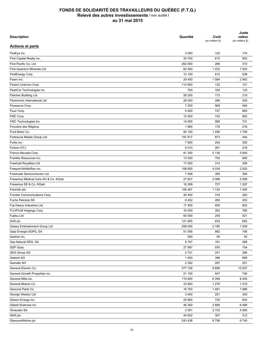| <b>Description</b>                                 | Quantité       | Coût<br>(en milliers \$) | Juste<br>valeur<br>(en milliers \$) |
|----------------------------------------------------|----------------|--------------------------|-------------------------------------|
| <b>Actions et parts</b>                            |                |                          |                                     |
| FireEye inc.                                       | 3 0 0 0        | 125                      | 174                                 |
| First Capital Realty inc.                          | 34 700         | 610                      | 652                                 |
| First Pacific Co. Ltd                              | 262 000        | 286                      | 310                                 |
| First Quantum Minerals Ltd                         | 62 400         | 1 2 2 2                  | 1 0 0 3                             |
| FirstEnergy Corp.                                  | 12 100         | 612                      | 539                                 |
| Fiserv inc.                                        | 29 400         | 1 5 8 4                  | 2942                                |
| Fission Uranium Corp.                              | 113 900        | 132                      | 131                                 |
| FleetCor Technologies inc.                         | 700            | 100                      | 133                                 |
| Fletcher Building Ltd                              | 28 205         | 173                      | 219                                 |
| Flextronics International Ltd                      | 28 000         | 286                      | 425                                 |
| Flowserve Corp.                                    | 7 200          | 568                      | 494                                 |
| Fluor Corp.                                        | 9400           | 747                      | 660                                 |
| FMC Corp.                                          | 12 500         | 742                      | 892                                 |
| FMC Technologies inc.                              | 14 000         | 568                      | 731                                 |
| Foncière des Régions                               | 1 9 6 4        | 176                      | 216                                 |
| Ford Motor Co.                                     | 90 100         | 1490                     | 1706                                |
| Fortescue Metals Group Ltd                         | 191 917        | 873                      | 444                                 |
| Fortis inc.                                        | 7 900          | 254                      | 300                                 |
| Fortum OYJ                                         | 9 2 1 0        | 261                      | 218                                 |
| Franco-Nevada Corp.                                | 91 300         | 5 1 3 9                  | 5840                                |
| Franklin Resources inc.                            | 13 300         | 704                      | 845                                 |
| Freehold Royalties Ltd                             | 17 500         | 314                      | 308                                 |
| Freeport-McMoRan inc.                              | 106 800        | 4 0 3 4                  | 2620                                |
| Freescale Semiconductor Ltd                        | 7 0 0 8        | 395                      | 395                                 |
| Fresenius Medical Care AG & Co. KGaA               | 27 827         | 2 0 8 6                  | 2958                                |
| Fresenius SE & Co. KGaA                            | 16 299         | 727                      | 1 2 9 7                             |
| Fresnillo plc                                      | 106 467        | 1 7 2 4                  | 1 540                               |
|                                                    |                |                          |                                     |
| Frontier Communications Corp.<br>Fuchs Petrolub SE | 40 400<br>6452 | 318                      | 260                                 |
|                                                    |                | 280                      | 353                                 |
| Fuji Heavy Industries Ltd                          | 17 400         | 405                      | 822                                 |
| FUJIFILM Holgings Corp.                            | 16 000         | 352                      | 765                                 |
| Fujitsu Ltd                                        | 60 000         | 259                      | 421                                 |
| G4S plc                                            | 121 805        | 633                      | 692                                 |
| Galaxy Entertainment Group Ltd                     | 256 000        | 2 1 8 5                  | 1529                                |
| Galp Energia SGPS, SA                              | 51 556         | 882                      | 756                                 |
| Gartner inc.                                       | 500            | 55                       | 55                                  |
| Gas Natural SDG, SA                                | 8747           | 191                      | 268                                 |
| <b>GDF Suez</b>                                    | 27 997         | 976                      | 704                                 |
| <b>GEA Group AG</b>                                | 4731           | 241                      | 286                                 |
| Geberit AG                                         | 1 540          | 396                      | 689                                 |
| Gemalto NV                                         | 2 3 0 2        | 297                      | 251                                 |
| General Electric Co.                               | 377 100        | 9899                     | 12 837                              |
| General Growth Properties inc.                     | 21 100         | 447                      | 746                                 |
| General Mills inc.                                 | 119 900        | 6 3 5 9                  | 8 4 0 4                             |
| General Motors Co.                                 | 33 800         | 1 2 7 6                  | 1518                                |
| Genuine Parts Co.                                  | 16 700         | 1461                     | 1886                                |
| George Weston Ltd                                  | 3 0 0 0        | 251                      | 303                                 |
| Gibson Energy inc.                                 | 25 900         | 725                      | 620                                 |
| Gilead Sciences inc.                               | 46 300         | 2889                     | 6488                                |
| Givaudan SA                                        | 2 0 0 1        | 3 1 5 3                  | 4 5 6 0                             |
| <b>GKN plc</b>                                     | 44 632         | 307                      | 312                                 |
| Glaxosmithkline plc                                | 243 438        | 6756                     | 6740                                |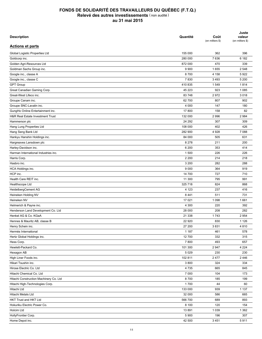| <b>Description</b>                     | Quantité | Coût<br>(en milliers \$) | Juste<br>valeur<br>(en milliers \$) |
|----------------------------------------|----------|--------------------------|-------------------------------------|
| <b>Actions et parts</b>                |          |                          |                                     |
| Global Logistic Properties Ltd         | 155 000  | 362                      | 396                                 |
| Goldcorp inc.                          | 280 000  | 7636                     | 6 182                               |
| Golden Agri-Resources Ltd              | 872 000  | 470                      | 339                                 |
| Goldman Sachs Group inc.               | 9 9 0 0  | 1655                     | 2 5 4 8                             |
| Google inc., classe A                  | 8700     | 4 1 5 8                  | 5922                                |
| Google inc., classe C                  | 7830     | 3 4 9 3                  | 5 200                               |
| <b>GPT Group</b>                       | 410 835  | 1549                     | 1814                                |
| Great Canadian Gaming Corp.            | 45 223   | 923                      | 1 0 8 5                             |
| Great-West Lifeco inc.                 | 83 748   | 2972                     | 3018                                |
| Groupe Canam inc.                      | 62 700   | 807                      | 902                                 |
| Groupe SNC-Lavalin inc.                | 4 0 0 0  | 147                      | 180                                 |
| GungHo Online Entertainment inc.       | 17 800   | 158                      | 82                                  |
| H&R Real Estate Investment Trust       | 132 000  | 2 9 9 6                  | 2 9 8 4                             |
| Hammerson plc                          | 24 29 2  | 307                      | 309                                 |
| Hang Lung Properties Ltd               | 108 000  | 402                      | 426                                 |
| Hang Seng Bank Ltd                     | 282 900  | 4928                     | 7 0 8 8                             |
| Hankyu Hanshin Holdings inc.           | 84 000   | 505                      | 631                                 |
|                                        | 8 2 7 8  | 211                      | 200                                 |
| Hargreaves Lansdown plc                |          |                          |                                     |
| Harley-Davidson inc.                   | 6 200    | 353                      | 414                                 |
| Harman International Industries inc.   | 1 500    | 226                      | 226                                 |
| Harris Corp.                           | 2 2 0 0  | 214                      | 218                                 |
| Hasbro inc.                            | 3 200    | 282                      | 288                                 |
| HCA Holdings inc.                      | 9 0 0 0  | 364                      | 919                                 |
| HCP inc.                               | 14 700   | 727                      | 710                                 |
| Health Care REIT inc.                  | 11 300   | 795                      | 991                                 |
| Healthscope Ltd                        | 325 718  | 824                      | 868                                 |
| HeidelbergCement AG                    | 4 1 2 3  | 237                      | 416                                 |
| Heineken Holding NV                    | 8 4 4 1  | 511                      | 731                                 |
| Heineken NV                            | 17 021   | 1 0 9 8                  | 1661                                |
| Helmerich & Payne inc.                 | 4 300    | 220                      | 392                                 |
| Henderson Land Development Co. Ltd     | 28 000   | 208                      | 282                                 |
| Henkel AG & Co. KGaA                   | 21 338   | 1743                     | 2 9 5 4                             |
| Hennes & Mauritz AB, classe B          | 22 9 20  | 830                      | 1 1 2 6                             |
| Henry Schein inc.                      | 27 200   | 3831                     | 4810                                |
| Hermès International                   | 1 1 8 7  | 461                      | 578                                 |
| Hertz Global Holdings inc.             | 12 700   | 332                      | 315                                 |
| Hess Corp.                             | 7800     | 493                      | 657                                 |
| Hewlett-Packard Co.                    | 101 300  | 2947                     | 4 2 2 4                             |
| Hexagon AB                             | 5 0 2 9  | 230                      | 230                                 |
| High Liner Foods inc.                  | 102 811  | 2477                     | 2446                                |
| Hikari Tsushin inc.                    | 3800     | 324                      | 334                                 |
| Hirose Electric Co. Ltd                | 4 7 3 5  | 665                      | 845                                 |
| Hitachi Chemical Co. Ltd               | 7 000    | 104                      | 173                                 |
| Hitachi Construction Machinery Co. Ltd | 8700     | 185                      | 199                                 |
| Hitachi High-Technologies Corp.        | 1700     | 44                       | 60                                  |
| Hitachi Ltd                            | 133 000  | 939                      | 1 1 3 7                             |
| Hitachi Metals Ltd                     | 32 000   | 586                      | 665                                 |
| HKT Trust and HKT Ltd                  | 566 700  | 689                      | 893                                 |
| Hokuriku Electric Power Co.            | 8 100    | 120                      | 154                                 |
| Holcim Ltd                             | 13891    | 1 0 3 9                  | 1 3 6 2                             |
| HollyFrontier Corp.                    | 5 900    | 196                      | 307                                 |
| Home Depot inc.                        | 42 500   | 3 4 5 1                  | 5911                                |
|                                        |          |                          |                                     |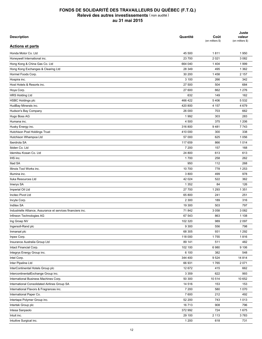| <b>Description</b>                                           | Quantité | Coût<br>(en milliers \$) | Juste<br>valeur<br>(en milliers \$) |
|--------------------------------------------------------------|----------|--------------------------|-------------------------------------|
| <b>Actions et parts</b>                                      |          |                          |                                     |
| Honda Motor Co. Ltd                                          | 45 500   | 1811                     | 1950                                |
| Honeywell International inc.                                 | 23 700   | 2 0 2 1                  | 3 0 8 2                             |
| Hong Kong & China Gas Co. Ltd                                | 664 040  | 1 4 0 4                  | 1999                                |
| Hong Kong Exchanges & Clearing Ltd                           | 28 349   | 495                      | 1 3 6 2                             |
| Hormel Foods Corp.                                           | 30 200   | 1458                     | 2 157                               |
| Hospira inc.                                                 | 3 100    | 266                      | 342                                 |
| Host Hotels & Resorts inc.                                   | 27 500   | 504                      | 684                                 |
| Hoya Corp.                                                   | 27 600   | 662                      | 1 2 7 6                             |
| <b>HRS Holding Ltd</b>                                       | 632      | 149                      | 162                                 |
| <b>HSBC Holdings plc</b>                                     | 466 422  | 5406                     | 5 5 3 2                             |
| HudBay Minerals inc.                                         | 420 800  | 4 1 5 7                  | 4 6 7 9                             |
| Hudson's Bay Company                                         | 26 000   | 703                      | 662                                 |
| Hugo Boss AG                                                 | 1992     | 303                      | 283                                 |
| Humana inc.                                                  | 4 500    | 375                      | 1 2 0 6                             |
| Husky Energy inc.                                            | 316 800  | 9481                     | 7743                                |
| <b>Hutchison Post Holdings Trust</b>                         | 410 000  | 300                      | 338                                 |
| Hutchison Whampoa Ltd                                        | 57 000   | 625                      | 1 0 5 6                             |
| Iberdrola SA                                                 | 117 659  | 866                      | 1014                                |
| Ibiden Co. Ltd                                               | 7 200    | 157                      | 168                                 |
| Idemitsu Kosan Co. Ltd                                       | 24 800   | 613                      | 613                                 |
| IHS inc.                                                     | 1700     | 258                      | 262                                 |
| Iliad SA                                                     | 950      | 112                      | 268                                 |
| Illinois Tool Works inc.                                     | 10 700   | 778                      | 1 2 5 3                             |
|                                                              | 3800     |                          | 978                                 |
| Illumina inc.                                                |          | 499                      |                                     |
| Iluka Resources Ltd                                          | 42 024   | 522                      | 362                                 |
| Imerys SA                                                    | 1 3 5 2  | 84                       | 126                                 |
| Imperial Oil Ltd                                             | 27 700   | 1 2 9 3                  | 1 3 5 1                             |
| Incitec Pivot Ltd                                            | 65 800   | 241                      | 251                                 |
| Incyte Corp.                                                 | 2 3 0 0  | 189                      | 316                                 |
| <b>Inditex SA</b>                                            | 19 300   | 503                      | 797                                 |
| Industrielle Alliance, Assurance et services financiers inc. | 71 842   | 3 0 5 8                  | 3 0 8 2                             |
| Infineon Technologies AG                                     | 67 543   | 863                      | 1 1 0 8                             |
| Ing Groep NV                                                 | 102 320  | 989                      | 2 0 9 7                             |
| Ingersoll-Rand plc                                           | 9 3 0 0  | 556                      | 798                                 |
| Inmarsat plc                                                 | 68 30 5  | 931                      | 1 2 9 2                             |
| Inpex Corp.                                                  | 118 000  | 1755                     | 1816                                |
| Insurance Australia Group Ltd                                | 89 141   | 511                      | 482                                 |
| Intact Financial Corp.                                       | 102 100  | 6980                     | 9 1 0 6                             |
| Integrys Energy Group inc.                                   | 6 100    | 382                      | 548                                 |
| Intel Corp.                                                  | 344 400  | 9524                     | 14 8 14                             |
| Inter Pipeline Ltd                                           | 66 931   | 1765                     | 2 0 7 1                             |
| InterContinental Hotels Group plc                            | 12 672   | 415                      | 662                                 |
| IntercontinentalExchange Group inc.                          | 3 3 5 9  | 622                      | 993                                 |
| International Business Machines Corp.                        | 50 300   | 10 514                   | 10 652                              |
| International Consolidated Airlines Group SA                 | 14 516   | 153                      | 153                                 |
| International Flavors & Fragrances inc.                      | 7 200    | 580                      | 1 0 7 0                             |
| International Paper Co.                                      | 7 600    | 212                      | 492                                 |
| Intertape Polymer Group inc.                                 | 52 200   | 743                      | 1013                                |
| Intertek Group plc                                           | 16713    | 908                      | 796                                 |
| Intesa Sanpaolo                                              | 372 992  | 724                      | 1675                                |
| Intuit inc.                                                  | 29 100   | 2 1 1 3                  | 3783                                |
| Intuitive Surgical inc.                                      | 1 200    | 618                      | 731                                 |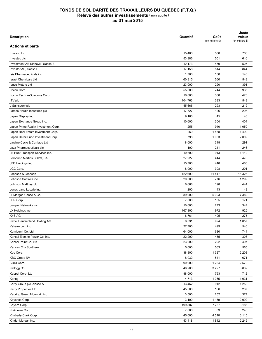| <b>Description</b>                                                       | Quantité | Coût<br>(en milliers \$) | Juste<br>valeur<br>(en milliers \$) |
|--------------------------------------------------------------------------|----------|--------------------------|-------------------------------------|
| <b>Actions et parts</b>                                                  |          |                          |                                     |
| Invesco Ltd                                                              | 15 400   | 538                      | 766                                 |
| Investec plc                                                             | 53 986   | 501                      | 616                                 |
| Investment AB Kinnevik, classe B                                         | 12 173   | 479                      | 507                                 |
| Investor AB, classe B                                                    | 17 158   | 514                      | 844                                 |
| Isis Pharmaceuticals inc.                                                | 1700     | 150                      | 143                                 |
| <b>Israel Chemicals Ltd</b>                                              | 60 315   | 560                      | 543                                 |
| <b>Isuzu Motors Ltd</b>                                                  | 23 000   | 290                      | 391                                 |
| Itochu Corp.                                                             | 55 300   | 744                      | 935                                 |
| Itochu Techno-Solutions Corp.                                            | 16 000   | 368                      | 473                                 |
| <b>ITV</b> plc                                                           | 104 766  | 383                      | 543                                 |
| J Sainsbury plc                                                          | 45 666   | 293                      | 219                                 |
| James Hardie Industries plc                                              | 17 527   | 126                      | 296                                 |
| Japan Display inc.                                                       | 9 1 6 8  | 45                       | 48                                  |
| Japan Exchange Group inc.                                                | 10 600   | 304                      | 404                                 |
| Japan Prime Realty Investment Corp.                                      | 255      | 940                      | 1 0 5 0                             |
|                                                                          | 259      | 1488                     | 1490                                |
| Japan Real Estate Investment Corp.<br>Japan Retail Fund Investment Corp. | 798      | 1 903                    | 2 0 0 2                             |
|                                                                          | 8 0 0 0  | 318                      | 291                                 |
| Jardine Cycle & Carriage Ltd                                             |          |                          |                                     |
| Jazz Pharmaceuticals plc                                                 | 1 100    | 211                      | 246                                 |
| JB Hunt Transport Services inc.                                          | 10 600   | 913                      | 1 1 1 2                             |
| Jeronimo Martins SGPS, SA                                                | 27 927   | 444                      | 478                                 |
| JFE Holdings inc.                                                        | 15 700   | 448                      | 480                                 |
| JGC Corp.                                                                | 8 0 0 0  | 308                      | 201                                 |
| Johnson & Johnson                                                        | 122 600  | 11 447                   | 15 3 25                             |
| Johnson Controls inc.                                                    | 20 000   | 776                      | 1 2 9 9                             |
| Johnson Matthey plc                                                      | 6668     | 198                      | 444                                 |
| Jones Lang Lasalle inc.                                                  | 200      | 43                       | 43                                  |
| JPMorgan Chase & Co.                                                     | 89 900   | 5 0 9 3                  | 7 3 8 2                             |
| JSR Corp.                                                                | 7 500    | 155                      | 171                                 |
| Juniper Networks inc.                                                    | 10 000   | 273                      | 347                                 |
| JX Holdings inc.                                                         | 167 300  | 972                      | 925                                 |
| K+S AG                                                                   | 6761     | 405                      | 275                                 |
| Kabel Deutschland Holding AG                                             | 6 3 3 1  | 994                      | 1 0 5 7                             |
| Kakaku.com inc.                                                          | 27 700   | 499                      | 540                                 |
| Kamigumi Co. Ltd                                                         | 64 000   | 680                      | 744                                 |
| Kansai Electric Power Co. inc.                                           | 22 200   | 485                      | 308                                 |
| Kansai Paint Co. Ltd                                                     | 23 000   | 292                      | 497                                 |
| Kansas City Southern                                                     | 5 0 0 0  | 563                      | 565                                 |
| Kao Corp.                                                                | 38 800   | 1 3 2 7                  | 2 2 0 8                             |
| <b>KBC Groep NV</b>                                                      | 8 0 3 2  | 541                      | 671                                 |
| KDDI Corp.                                                               | 90 900   | 1 2 6 4                  | 2 5 7 0                             |
| Kellogg Co.                                                              | 48 900   | 3 2 2 7                  | 3832                                |
| Keppel Corp. Ltd                                                         | 88 000   | 753                      | 712                                 |
| Kering                                                                   | 4713     | 1 0 6 5                  | 1 0 3 1                             |
| Kerry Group plc, classe A                                                | 13 4 62  | 912                      | 1 2 5 3                             |
| Kerry Properties Ltd                                                     | 45 500   | 166                      | 237                                 |
| Keuring Green Mountain inc.                                              | 3 500    | 252                      | 377                                 |
| Keyence Corp.                                                            | 3 100    | 1 1 5 9                  | 2 0 9 2                             |
| Keyera Corp.                                                             | 199 887  | 7 2 3 7                  | 8 1 8 5                             |
| Kikkoman Corp.                                                           | 7 000    | 83                       | 245                                 |
| Kimberly-Clark Corp.                                                     | 45 000   | 4510                     | 6 1 1 5                             |
| Kinder Morgan inc.                                                       | 43 4 18  | 1812                     | 2 2 4 9                             |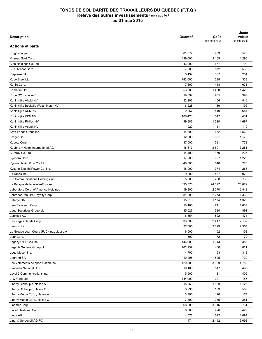| <b>Description</b>                        | Quantité | Coût<br>(en milliers \$) | Juste<br>valeur<br>(en milliers \$) |
|-------------------------------------------|----------|--------------------------|-------------------------------------|
| <b>Actions et parts</b>                   |          |                          |                                     |
| Kingfisher plc                            | 81 677   | 453                      | 576                                 |
| Kinross Gold Corp.                        | 439 000  | 2 1 6 5                  | 1 2 9 0                             |
| Kirin Holdings Co. Ltd                    | 43 900   | 667                      | 790                                 |
| KLA-Tencor Corp.                          | 7 200    | 572                      | 536                                 |
| Klepierre SA                              | 5 1 3 7  | 307                      | 284                                 |
| Kobe Steel Ltd                            | 142 000  | 298                      | 333                                 |
| Kohl's Corp.                              | 7800     | 418                      | 638                                 |
| Komatsu Ltd                               | 53 800   | 1 4 3 0                  | 1420                                |
| Kone OYJ, classe B                        | 19 092   | 905                      | 997                                 |
| Koninklijke Ahold NV                      | 32 203   | 456                      | 816                                 |
| Koninklijke Boskalis Westminster NV       | 6 2 2 8  | 189                      | 192                                 |
| Koninklijke DSM NV                        | 9 2 5 7  | 510                      | 684                                 |
| Koninklijke KPN NV                        | 106 426  | 517                      | 481                                 |
| Koninklijke Philips NV                    | 99 986   | 1 5 2 0                  | 1697                                |
| Koninklijke Vopak NV                      | 1920     | 111                      | 119                                 |
| Kraft Foods Group inc.                    | 14 800   | 652                      | 1560                                |
| Kroger Co.                                | 12 900   | 331                      | 1 1 7 2                             |
| Kubota Corp.                              | 37 000   | 581                      | 772                                 |
| Kuehne + Nagel International AG           | 18 617   | 2601                     | 3 2 5 1                             |
| Kuraray Co. Ltd                           | 14 400   | 179                      | 237                                 |
| Kyocera Corp.                             | 17 900   | 927                      | 1 2 2 0                             |
| Kyowa Hakko Kirin Co. Ltd                 | 46 000   | 540                      | 726                                 |
| Kyushu Electric Power Co. inc.            | 18 000   | 374                      | 263                                 |
| L Brands inc.                             | 9 0 0 0  | 467                      | 972                                 |
| L-3 Communications Holdings inc.          | 5 0 0 0  | 738                      | 735                                 |
| La Banque de Nouvelle-Écosse              | 395 575  | 24 697                   | 25 872                              |
|                                           |          | 2070                     | 2842                                |
| Laboratory Corp. of America Holdings      | 19 300   |                          |                                     |
| Labrador Iron Ore Royalty Corp.           | 81 000   | 2 2 7 3                  | 1 3 3 2                             |
| Lafarge SA                                | 15 013   | 1 1 7 4                  | 1 3 2 0                             |
| Lam Research Corp.                        | 10 100   | 711                      | 1 0 3 7                             |
| Land Securities Group plc                 | 35 627   | 524                      | 891                                 |
| Lanxess AG                                | 6854     | 522                      | 474                                 |
| Las Vegas Sands Corp.                     | 33 600   | 2417                     | 2 1 3 2                             |
| Lawson inc.                               | 27 000   | 2 0 2 9                  | 2 3 5 7                             |
| Le Groupe Jean Coutu (PJC) inc., classe A | 6 500    | 152                      | 152                                 |
| Lear Corp.                                | 500      | 72                       | 72                                  |
| Legacy Oil + Gas inc.                     | 146 600  | 1 0 4 3                  | 386                                 |
| Legal & General Group plc                 | 162 239  | 460                      | 821                                 |
| Legg Mason inc.                           | 4700     | 153                      | 313                                 |
| Legrand SA                                | 10 298   | 525                      | 722                                 |
| Les Vêtements de sport Gildan inc.        | 120 800  | 3 3 2 9                  | 4759                                |
| Leucadia National Corp.                   | 16 100   | 517                      | 495                                 |
| Level 3 Communications inc.               | 5 9 0 0  | 131                      | 409                                 |
| Li & Fung Ltd                             | 144 000  | 201                      | 156                                 |
| Liberty Global plc, classe A              | 15 666   | 1 1 6 9                  | 1 1 2 5                             |
| Liberty Global plc, classe C              | 8 2 9 5  | 163                      | 557                                 |
| Liberty Media Corp., classe A             | 3700     | 120                      | 177                                 |
| Liberty Media Corp., classe C             | 7400     | 235                      | 351                                 |
| Linamar Corp.                             | 68 000   | 3616                     | 5761                                |
| Lincoln National Corp.                    | 6 0 0 0  | 426                      | 427                                 |
| Linde AG                                  | 4572     | 622                      | 1 0 9 4                             |
| Lindt & Spruengli AG-PC                   | 471      | 2 4 4 2                  | 3 0 9 3                             |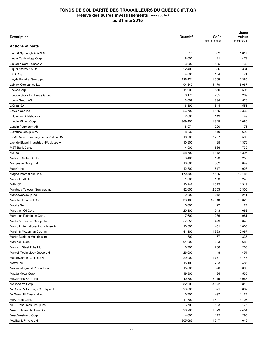| <b>Description</b>                     | Quantité | Coût<br>(en milliers \$) | Juste<br>valeur<br>(en milliers \$) |
|----------------------------------------|----------|--------------------------|-------------------------------------|
| <b>Actions et parts</b>                |          |                          |                                     |
| Lindt & Spruengli AG-REG               | 13       | 662                      | 1017                                |
| Linear Technology Corp.                | 8 0 0 0  | 421                      | 478                                 |
| LinkedIn Corp., classe A               | 3 0 0 0  | 505                      | 730                                 |
| Liquor Stores NA Ltd                   | 22 400   | 336                      | 331                                 |
| LKQ Corp.                              | 4 800    | 154                      | 171                                 |
| Lloyds Banking Group plc               | 1426421  | 1 609                    | 2 3 8 5                             |
| Loblaw Companies Ltd                   | 94 343   | 5 1 7 0                  | 5 9 6 7                             |
| Loews Corp.                            | 11 900   | 560                      | 596                                 |
| London Stock Exchange Group            | 6 170    | 205                      | 289                                 |
| Lonza Group AG                         | 3 0 0 9  | 334                      | 526                                 |
| L'Oreal SA                             | 6 5 9 0  | 844                      | 1551                                |
| Lowe's Cos inc.                        | 26 700   | 1 1 6 6                  | 2 3 3 2                             |
| Lululemon Athletica inc.               | 2 0 0 0  | 149                      | 149                                 |
| Lundin Mining Corp.                    | 369 400  | 1945                     | 2 0 8 0                             |
| Lundin Petroleum AB                    | 8971     | 220                      | 176                                 |
| Luxottica Group SPA                    | 8 3 3 6  | 510                      | 699                                 |
| LVMH Moet Hennessy Louis Vuitton SA    | 16 203   | 2737                     | 3 5 9 5                             |
| LyondellBasell Industries NV, classe A | 10 900   | 425                      | 1 3 7 6                             |
| M&T Bank Corp.                         | 4 9 0 0  | 536                      | 739                                 |
| M3 inc.                                | 58 700   | 1 1 1 2                  | 1 3 9 7                             |
| Mabuchi Motor Co. Ltd                  | 3 4 0 0  | 123                      | 258                                 |
| Macquarie Group Ltd                    | 10 868   | 502                      | 849                                 |
|                                        | 12 300   | 617                      | 1 0 2 8                             |
| Macy's inc.                            | 170 500  | 7 5 9 6                  | 12 186                              |
| Magna International inc.               |          |                          |                                     |
| Mallinckrodt plc                       | 1 500    | 153                      | 242                                 |
| <b>MAN SE</b>                          | 10 247   | 1 3 7 5                  | 1 3 1 9                             |
| Manitoba Telecom Services inc.         | 82 600   | 2653                     | 2 3 0 0                             |
| ManpowerGroup inc.                     | 2 0 0 0  | 212                      | 211                                 |
| Manulife Financial Corp.               | 833 100  | 15 510                   | 19 0 20                             |
| Mapfre SA                              | 6 0 0 0  | 27                       | 27                                  |
| Marathon Oil Corp.                     | 20 100   | 543                      | 682                                 |
| Marathon Petroleum Corp.               | 7 600    | 286                      | 981                                 |
| Marks & Spencer Group plc              | 57 650   | 429                      | 640                                 |
| Marriott International inc., classe A  | 10 300   | 451                      | 1 0 0 3                             |
| Marsh & McLennan Cos inc.              | 41 100   | 1893                     | 2987                                |
| Martin Marietta Materials inc.         | 1800     | 167                      | 335                                 |
| Marubeni Corp.                         | 94 000   | 693                      | 688                                 |
| Maruichi Steel Tube Ltd                | 8700     | 288                      | 288                                 |
| Marvell Technology Group Ltd           | 26 000   | 448                      | 454                                 |
| MasterCard inc., classe A              | 29 900   | 1771                     | 3 4 4 3                             |
| Mattel inc.                            | 15 100   | 703                      | 486                                 |
| Maxim Integrated Products inc.         | 15 800   | 570                      | 692                                 |
| Mazda Motor Corp.                      | 19 900   | 424                      | 535                                 |
| McCormick & Co. inc.                   | 40 500   | 2915                     | 3 9 6 8                             |
| McDonald's Corp.                       | 82 000   | 8622                     | 9819                                |
| McDonald's Holdings Co. Japan Ltd      | 23 000   | 671                      | 602                                 |
| McGraw Hill Financial inc.             | 8700     | 492                      | 1 1 2 7                             |
| McKesson Corp.                         | 11 500   | 1547                     | 3 4 0 5                             |
| MDU Resources Group inc.               | 6700     | 193                      | 175                                 |
| Mead Johnson Nutrition Co.             | 20 200   | 1529                     | 2 4 5 4                             |
| MeadWestvaco Corp.                     | 4 600    | 115                      | 290                                 |
| Medibank Private Ltd                   | 805 083  | 1647                     | 1646                                |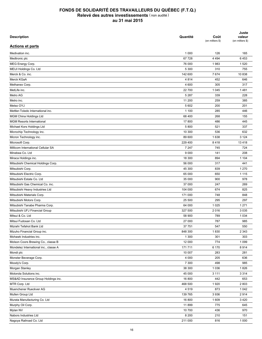| <b>Description</b>                    | Quantité | Coût<br>(en milliers \$) | Juste<br>valeur<br>(en milliers \$) |
|---------------------------------------|----------|--------------------------|-------------------------------------|
| <b>Actions et parts</b>               |          |                          |                                     |
| Medivation inc.                       | 1 0 0 0  | 126                      | 165                                 |
| Medtronic plc                         | 67 728   | 4 4 9 4                  | 6453                                |
| MEG Energy Corp.                      | 76 000   | 1983                     | 1520                                |
| MEIJI Holdings Co. Ltd                | 5 300    | 310                      | 755                                 |
| Merck & Co. inc.                      | 142 600  | 7674                     | 10838                               |
| Merck KGaA                            | 4 8 1 4  | 452                      | 646                                 |
| Methanex Corp.                        | 4 600    | 305                      | 317                                 |
| MetLife inc.                          | 22 700   | 1 0 4 5                  | 1481                                |
| Metro AG                              | 5 2 8 7  | 339                      | 228                                 |
| Metro inc.                            | 11 200   | 259                      | 385                                 |
| Metso OYJ                             | 5 602    | 200                      | 201                                 |
| Mettler-Toledo International inc.     | 1 100    | 285                      | 446                                 |
| <b>MGM China Holdings Ltd</b>         | 68 400   | 268                      | 155                                 |
| <b>MGM Resorts International</b>      | 17800    | 486                      | 445                                 |
| Michael Kors Holdings Ltd             | 5 800    | 521                      | 337                                 |
| Microchip Technology inc.             | 10 300   | 536                      | 632                                 |
| Micron Technology inc.                | 89 600   | 1638                     | 3 1 2 4                             |
| Microsoft Corp.                       | 229 400  | 8418                     | 13 4 18                             |
| Millicom International Cellular SA    | 7 2 4 7  | 745                      | 724                                 |
| Minebea Co. Ltd                       | 9 0 0 0  | 141                      | 208                                 |
| Miraca Holdings inc.                  | 18 300   | 894                      | 1 1 0 4                             |
| Mitsubishi Chemical Holdings Corp.    | 56 000   | 317                      | 441                                 |
| Mitsubishi Corp.                      | 45 300   | 839                      | 1 270                               |
| Mitsubishi Electric Corp.             | 65 000   | 650                      | 1 1 1 5                             |
| Mitsubishi Estate Co. Ltd             | 35 000   | 900                      | 978                                 |
| Mitsubishi Gas Chemical Co. inc.      | 37 000   | 247                      | 269                                 |
| Mitsubishi Heavy Industries Ltd       | 104 000  | 674                      | 825                                 |
| Mitsubishi Materials Corp.            | 171 000  | 748                      | 848                                 |
| Mitsubishi Motors Corp.               | 25 500   | 295                      | 297                                 |
| Mitsubishi Tanabe Pharma Corp.        | 64 000   | 1 0 2 5                  | 1 2 7 1                             |
| Mitsubishi UFJ Financial Group        | 327 500  | 2016                     | 3 0 3 5                             |
| Mitsui & Co. Ltd                      | 58 900   | 789                      | 1 0 3 4                             |
| Mitsui Fudosan Co. Ltd                | 27 000   | 787                      | 985                                 |
| Mizrahi Tefahot Bank Ltd              | 37 751   | 547                      | 550                                 |
| Mizuho Financial Group inc.           | 848 300  | 1830                     | 2 3 4 3                             |
| Mohawk Industries inc.                | 1 300    | 301                      | 303                                 |
| Molson Coors Brewing Co., classe B    | 12 000   | 774                      | 1 0 9 9                             |
| Mondelez International inc., classe A | 171711   | 6 170                    | 8914                                |
|                                       |          |                          |                                     |
| Mondi plc                             | 10 007   | 283                      | 281                                 |
| Monster Beverage Corp.                | 4 0 0 0  | 205                      | 636                                 |
| Moody's Corp.                         | 7 300    | 498                      | 985                                 |
| Morgan Stanley                        | 38 300   | 1 0 3 6                  | 1826                                |
| Motorola Solutions inc.               | 45 000   | 3 1 1 1                  | 3 3 1 4                             |
| MS&AD Insurance Group Holdings inc.   | 16 800   | 442                      | 653                                 |
| MTR Corp. Ltd                         | 468 500  | 1920                     | 2803                                |
| Muenchener Rueckver AG                | 4519     | 873                      | 1 0 4 2                             |
| Mullen Group Ltd                      | 139 765  | 3936                     | 2914                                |
| Murata Manufacturing Co. Ltd          | 16 800   | 1609                     | 3 4 2 0                             |
| Murphy Oil Corp.                      | 11899    | 775                      | 645                                 |
| Mylan NV                              | 10 700   | 436                      | 970                                 |
| Nabors Industries Ltd                 | 8 2 0 0  | 210                      | 151                                 |
| Nagoya Railroad Co. Ltd               | 211 000  | 816                      | 1 0 0 0                             |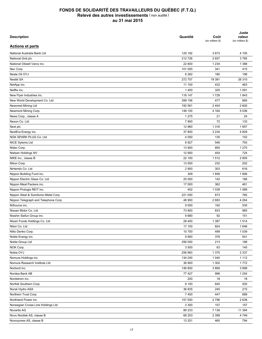| <b>Description</b>                   | Quantité | Coût<br>(en milliers \$) | Juste<br>valeur<br>(en milliers \$) |
|--------------------------------------|----------|--------------------------|-------------------------------------|
| <b>Actions et parts</b>              |          |                          |                                     |
| National Australia Bank Ltd          | 125 192  | 3873                     | 4 105                               |
| National Grid plc                    | 212726   | 2657                     | 3785                                |
| National Oilwell Varco inc.          | 22 600   | 1 2 3 4                  | 1 3 8 8                             |
| Nec Corp.                            | 101 000  | 341                      | 415                                 |
| Neste Oil OYJ                        | 6 2 6 2  | 180                      | 198                                 |
| Nestlé SA                            | 272757   | 19 381                   | 26 310                              |
| NetApp inc.                          | 11 100   | 432                      | 463                                 |
| Netflix inc.                         | 1400     | 325                      | 1 0 9 1                             |
| New Flyer Industries inc.            | 118 147  | 1729                     | 1843                                |
| New World Development Co. Ltd        | 399 156  | 477                      | 665                                 |
| Newcrest Mining Ltd                  | 192 561  | 2 4 0 4                  | 2 600                               |
| Newmont Mining Corp.                 | 148 100  | 4 1 6 4                  | 5 0 36                              |
| News Corp., classe A                 | 1 2 7 5  | 21                       | 24                                  |
| Nexon Co. Ltd                        | 7 9 0 0  | 72                       | 133                                 |
| Next plc                             | 12 960   | 1 3 1 6                  | 1857                                |
| NextEra Energy inc.                  | 37 800   | 3 2 3 4                  | 4 8 2 9                             |
| NGK SPARK PLUG Co. Ltd               | 4 0 0 0  | 135                      | 152                                 |
| NICE Sytems Ltd                      | 9927     | 546                      | 793                                 |
| Nidec Corp.                          | 13 900   | 855                      | 1 2 7 0                             |
| Nielsen Holdings NV                  | 12 900   | 454                      | 724                                 |
| NIKE inc., classe B                  | 22 100   | 1512                     | 2 8 0 5                             |
|                                      | 13 000   |                          | 202                                 |
| Nikon Corp.<br>Nintendo Co. Ltd      | 2 9 0 0  | 232<br>303               | 616                                 |
|                                      |          |                          |                                     |
| Nippon Building Fund inc.            | 309      | 1858                     | 1806                                |
| Nippon Electric Glass Co. Ltd        | 25 000   | 142                      | 166                                 |
| Nippon Meat Packers inc.             | 17 000   | 362                      | 461                                 |
| Nippon Prologis REIT inc.            | 452      | 1 0 3 9                  | 1 0 8 9                             |
| Nippon Steel & Sumitomo Metal Corp.  | 221 000  | 673                      | 760                                 |
| Nippon Telegraph and Telephone Corp. | 48 900   | 2683                     | 4 2 6 4                             |
| NiSource inc.                        | 9 0 0 0  | 192                      | 530                                 |
| Nissan Motor Co. Ltd                 | 73 800   | 833                      | 965                                 |
| Nisshin Seifun Group inc.            | 9680     | 92                       | 151                                 |
| Nissin Foods Holdings Co. Ltd        | 28 400   | 1 3 8 7                  | 1514                                |
| Nitori Co. Ltd                       | 17 100   | 824                      | 1646                                |
| Nitto Denko Corp.                    | 10 700   | 499                      | 1 0 3 9                             |
| Noble Energy inc.                    | 9 9 0 0  | 376                      | 541                                 |
| Noble Group Ltd                      | 256 000  | 213                      | 188                                 |
| NOK Corp.                            | 3 500    | 63                       | 145                                 |
| Nokia OYJ                            | 256 983  | 1 3 7 5                  | 2 3 3 7                             |
| Nomura Holdings inc.                 | 134 200  | 1 0 4 0                  | 1 1 1 2                             |
| Nomura Research Institute Ltd        | 36 900   | 1 3 0 2                  | 1772                                |
| Norbord inc.                         | 146 800  | 3869                     | 3898                                |
| Nordea Bank AB                       | 77 427   | 996                      | 1 2 5 4                             |
| Nordstrom inc.                       | 200      | 18                       | 18                                  |
| Norfolk Southern Corp.               | 8 100    | 645                      | 930                                 |
| Norsk Hydro ASA                      | 36 835   | 245                      | 215                                 |
| Northern Trust Corp.                 | 7400     | 447                      | 689                                 |
| Northland Power inc.                 | 157 500  | 2796                     | 2638                                |
| Norwegian Cruise Line Holdings Ltd   | 2 3 0 0  | 157                      | 157                                 |
| Novartis AG                          | 89 233   | 7 1 3 9                  | 11 394                              |
| Novo Nordisk AS, classe B            | 68 253   | 2 3 9 9                  | 4749                                |
| Novozymes AS, classe B               | 13 251   | 460                      | 794                                 |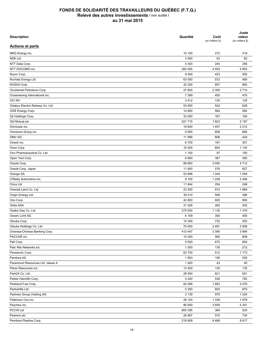| <b>Description</b>                | Quantité | Coût<br>(en milliers \$) | Juste<br>valeur<br>(en milliers \$) |
|-----------------------------------|----------|--------------------------|-------------------------------------|
| <b>Actions et parts</b>           |          |                          |                                     |
| NRG Energy inc.                   | 10 100   | 272                      | 318                                 |
| <b>NSK Ltd</b>                    | 3 0 0 0  | 62                       | 62                                  |
| NTT Data Corp.                    | 5 300    | 245                      | 295                                 |
| NTT DOCOMO inc.                   | 262 000  | 4 503                    | 5893                                |
| Nucor Corp.                       | 9400     | 423                      | 555                                 |
| NuVista Energy Ltd                | 63 000   | 572                      | 485                                 |
| NVIDIA Corp.                      | 32 300   | 657                      | 893                                 |
| Occidental Petroleum Corp.        | 27 800   | 2 3 0 0                  | 2 7 1 4                             |
| Oceaneering International inc.    | 7 3 9 9  | 450                      | 470                                 |
| <b>OCI NV</b>                     | 3412     | 135                      | 125                                 |
| Odakyu Electric Railway Co. Ltd   | 53 000   | 542                      | 629                                 |
| OGE Energy Corp.                  | 14 800   | 564                      | 582                                 |
| Oji Holdings Corp.                | 33 000   | 167                      | 184                                 |
| Old Mutual plc                    | 521 715  | 1823                     | 2 197                               |
| Omnicare inc.                     | 18 600   | 1 4 5 7                  | 2 2 1 2                             |
| Omnicom Group inc.                | 9 500    | 608                      | 884                                 |
| OMV AG                            | 11 996   | 606                      | 424                                 |
| Oneok inc.                        | 6700     | 197                      | 351                                 |
| Onex Corp.                        | 16 000   | 854                      | 1 1 2 4                             |
| Ono Pharmaceutical Co. Ltd        | 1 100    | 97                       | 150                                 |
| Open Text Corp.                   | 6 900    | 387                      | 365                                 |
| Oracle Corp.                      | 86 800   | 3 0 5 0                  | 4712                                |
| Oracle Corp. Japan                | 11 600   | 576                      | 627                                 |
|                                   |          | 1 2 4 4                  |                                     |
| Orange SA                         | 53 896   |                          | 1 0 5 9                             |
| O'Reilly Automotive inc.          | 9 100    | 1 2 2 8                  | 2 4 9 4                             |
| Orica Ltd                         | 11 844   | 254                      | 248                                 |
| Oriental Land Co. Ltd             | 23 200   | 912                      | 1869                                |
| Origin Energy Ltd                 | 39 010   | 506                      | 496                                 |
| Orix Corp.                        | 42 800   | 605                      | 850                                 |
| Orkla ASA                         | 31 0 26  | 262                      | 302                                 |
| Osaka Gas Co. Ltd                 | 275 000  | 1 1 3 0                  | 1 3 7 9                             |
| Osram Licht AG                    | 6 159    | 300                      | 405                                 |
| Otsuka Corp.                      | 15 300   | 732                      | 930                                 |
| Otsuka Holdings Co. Ltd           | 75 000   | 2491                     | 2936                                |
| Oversea-Chinese Banking Corp.     | 412 447  | 3 3 9 5                  | 3894                                |
| PACCAR inc.                       | 10 200   | 565                      | 809                                 |
| Pall Corp.                        | 5 5 0 0  | 675                      | 854                                 |
| Palo Alto Networks inc.           | 1 0 0 0  | 135                      | 212                                 |
| Panasonic Corp.                   | 63 700   | 512                      | 1 1 7 3                             |
| Pandora AS                        | 1953     | 156                      | 245                                 |
| Paramount Resources Ltd, classe A | 1400     | 43                       | 45                                  |
| Parex Resources inc.              | 13 300   | 135                      | 135                                 |
| Park24 Co. Ltd                    | 29 500   | 621                      | 651                                 |
| Parker Hannifin Corp.             | 5 200    | 536                      | 782                                 |
| Parkland Fuel Corp.               | 82 098   | 1883                     | 2079                                |
| PartnerRe Ltd                     | 5 3 0 0  | 602                      | 870                                 |
| Partners Group Holding AG         | 3 1 3 9  | 970                      | 1 2 2 4                             |
| Patterson Cos inc.                | 28 100   | 1 3 3 9                  | 1678                                |
| Paychex inc.                      | 86 600   | 3859                     | 5 3 4 1                             |
| PCCW Ltd                          | 665 395  | 369                      | 520                                 |
| Pearson plc                       | 29 4 67  | 570                      | 734                                 |
| Pembina Pipeline Corp.            | 219 909  | 8468                     | 8817                                |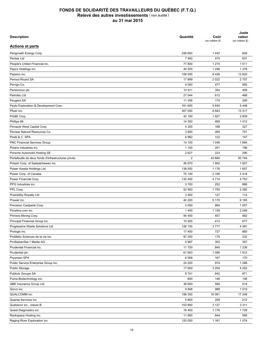| <b>Description</b>                                  | Quantité       | Coût<br>(en milliers \$) | Juste<br>valeur<br>(en milliers \$) |
|-----------------------------------------------------|----------------|--------------------------|-------------------------------------|
| <b>Actions et parts</b>                             |                |                          |                                     |
| Pengrowth Energy Corp.                              | 248 600        | 1442                     | 828                                 |
| Pentair Ltd                                         | 7 900          | 475                      | 631                                 |
| People's United Financial inc.                      | 77 800         | 1 2 7 4                  | 1511                                |
| Pepco Holdings inc.                                 | 40 500         | 1 2 4 6                  | 1 3 7 8                             |
| Pepsico inc.                                        | 106 500        | 8426                     | 12 8 20                             |
| Pernod Ricard SA                                    | 17899          | 2 0 2 2                  | 2757                                |
| Perrigo Co.                                         | 4 0 0 0        | 477                      | 950                                 |
| Persimmon plc                                       | 10 911         | 354                      | 408                                 |
| Petrofac Ltd                                        | 27 044         | 612                      | 466                                 |
| Peugeot SA                                          | 11 356         | 175                      | 295                                 |
| Peyto Exploration & Development Corp.               | 161 600        | 5 6 4 0                  | 5448                                |
| Pfizer inc.                                         | 307 000        | 8943                     | 13 3 17                             |
| PG&E Corp.                                          | 42 100         | 1927                     | 2809                                |
| Phillips 66                                         | 14 300         | 469                      | 1412                                |
| Pinnacle West Capital Corp.                         | 4 3 0 0        | 188                      | 327                                 |
| Pioneer Natural Resources Co.                       | 3800           | 265                      | 701                                 |
| Pirelli & C. SPA                                    | 6962           | 122                      | 147                                 |
| <b>PNC Financial Services Group</b>                 | 14 100         | 1 0 4 6                  | 1684                                |
| Polaris Industries inc.                             | 1 100          | 201                      | 196                                 |
| Porsche Automobil Holding SE                        | 2627           | 223                      | 290                                 |
| Portefeuille de deux fonds d'infrastructures privés | $\overline{2}$ | 43 660                   | 50 744                              |
| Potash Corp. of Saskatchewan inc.                   | 46 670         | 1 9 0 2                  | 1827                                |
| Power Assets Holdings Ltd                           | 138 500        | 1 1 7 6                  | 1657                                |
| Power Corp. of Canada                               | 75 100         | 2 1 9 5                  | 2418                                |
| Power Financial Corp.                               | 132 400        | 4 7 1 4                  | 4753                                |
| PPG Industries inc.                                 | 3 100          | 252                      | 886                                 |
| PPL Corp.                                           | 52 900         | 1793                     | 2 2 9 2                             |
| PrairieSky Royalty Ltd                              | 3 4 0 0        | 127                      | 114                                 |
| Praxair inc.                                        | 40 200         | 5 1 7 0                  | 6 1 6 5                             |
| Precision Castparts Corp.                           | 4 0 0 0        | 884                      | 1 0 5 7                             |
| Priceline.com inc.                                  | 1 4 0 0        | 1 1 5 9                  | 2 0 4 8                             |
|                                                     |                |                          |                                     |
| Primero Mining Corp.                                | 94 400         | 457                      | 482                                 |
| Principal Financial Group inc.                      | 10 500         | 412                      | 677                                 |
| Progressive Waste Solutions Ltd                     | 126 100        | 3777                     | 4 3 8 1                             |
| Prologis inc.                                       | 17 400         | 727                      | 860                                 |
| ProMetic Sciences de la vie inc.                    | 97 200         | 175                      | 232                                 |
| ProSiebenSat.1 Media AG                             | 5987           | 303                      | 357                                 |
| Prudential Financial inc.                           | 11700          | 840                      | 1 2 3 6                             |
| Prudential plc                                      | 61 693         | 1 0 9 0                  | 1912                                |
| Prysmian SPA                                        | 6 0 5 8        | 167                      | 170                                 |
| Public Service Enterprise Group inc.                | 24 200         | 874                      | 1 2 8 8                             |
| <b>Public Storage</b>                               | 17 600         | 3 2 5 4                  | 4 2 5 2                             |
| Publicis Groupe SA                                  | 8741           | 642                      | 871                                 |
| Puma Biotechnology inc.                             | 600            | 146                      | 146                                 |
| QBE Insurance Group Ltd                             | 36 693         | 580                      | 514                                 |
| Qorvo inc.                                          | 9848           | 988                      | 1010                                |
| QUALCOMM inc.                                       | 198 300        | 16 061                   | 17 248                              |
| Quanta Services inc.                                | 5 800          | 209                      | 212                                 |
| Quebecor inc., classe B                             | 103 900        | 3 1 2 7                  | 3 3 1 1                             |
| Quest Diagnostics inc.                              | 18 400         | 1 1 7 6                  | 1728                                |
| Rackspace Hosting inc.                              | 11 900         | 644                      | 595                                 |
| Raging River Exploration inc.                       | 120 000        | 1 1 6 1                  | 1 0 7 4                             |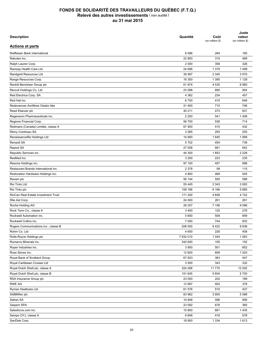| <b>Description</b>                                   | Quantité | Coût<br>(en milliers \$) | Juste<br>valeur<br>(en milliers \$) |
|------------------------------------------------------|----------|--------------------------|-------------------------------------|
| <b>Actions et parts</b>                              |          |                          |                                     |
| Raiffeisen Bank International                        | 8 5 9 6  | 284                      | 165                                 |
| Rakuten inc.                                         | 22 800   | 315                      | 469                                 |
| Ralph Lauren Corp.                                   | 2 0 0 0  | 358                      | 326                                 |
| Ramsay Health Care Ltd                               | 24 696   | 1 3 7 9                  | 1499                                |
| Randgold Resources Ltd                               | 39 587   | 3 3 4 0                  | 3570                                |
| Range Resources Corp.                                | 16 300   | 1 3 9 5                  | 1 1 2 8                             |
| Reckitt Benckiser Group plc                          | 61874    | 4 5 3 0                  | 6960                                |
| Recruit Holdings Co. Ltd                             | 23 098   | 890                      | 904                                 |
| Red Electrica Corp. SA                               | 4 3 6 2  | 234                      | 457                                 |
| Red Hat inc.                                         | 6700     | 410                      | 646                                 |
| Redevances Aurifères Osisko Itée                     | 41 400   | 710                      | 746                                 |
| Reed Elsevier plc                                    | 40 211   | 473                      | 831                                 |
| Regeneron Pharmaceuticals inc.                       | 2 2 0 0  | 541                      | 1408                                |
| Regions Financial Corp.                              | 56 700   | 536                      | 714                                 |
| Reitmans (Canada) Limitée, classe A                  | 67 900   | 410                      | 432                                 |
| Rémy Cointreau SA                                    | 3 2 6 5  | 293                      | 293                                 |
| RenaissanceRe Holdings Ltd                           | 14 900   | 1645                     | 1899                                |
| Renault SA                                           | 5702     | 454                      | 738                                 |
| Repsol SA                                            | 27 058   | 661                      | 642                                 |
| Republic Services inc.                               | 44 300   | 1853                     | 2 2 2 8                             |
| ResMed inc.                                          | 3 2 0 0  | 223                      | 235                                 |
| Resona Holdings inc.                                 | 97 100   | 457                      | 696                                 |
| Restaurant Brands International inc.                 | 2 3 7 8  | 99                       | 115                                 |
| Restoration Hardware Holdings inc.                   | 4 800    | 468                      | 545                                 |
| Rexam plc                                            | 56 144   | 500                      | 598                                 |
| Rio Tinto Ltd                                        | 55 4 45  | 3 3 4 3                  | 3 0 8 3                             |
| Rio Tinto plc                                        | 108 166  | 6 1 6 6                  | 5885                                |
| RioCan Real Estate Investment Trust                  | 171 200  | 4658                     | 4742                                |
| Rite Aid Corp.                                       | 24 000   | 261                      | 261                                 |
| Roche Holding AG                                     | 26 257   | 7 10 6                   | 9596                                |
| Rock Tenn Co., classe A                              | 3 4 0 0  | 125                      | 276                                 |
| Rockwell Automation inc.                             | 5 600    | 509                      | 859                                 |
| Rockwell Collins inc.                                | 7 0 0 0  | 744                      | 832                                 |
|                                                      | 206 500  | 9422                     | 8 8 3 6                             |
| Rogers Communications inc., classe B<br>Rohm Co. Ltd | 4 600    | 226                      | 408                                 |
| Rolls-Royce Holdings plc                             | 7832010  | 1 0 4 4                  | 1 0 6 3                             |
| Romarco Minerals inc.                                |          |                          |                                     |
| Roper Industries inc.                                | 342 600  | 155                      | 152                                 |
|                                                      | 3 9 0 0  | 501                      | 852                                 |
| Ross Stores inc.                                     | 12 600   | 858                      | 1 5 2 0                             |
| Royal Bank of Scotland Group                         | 67 923   | 363                      | 447                                 |
| Royal Caribbean Cruises Ltd                          | 3 500    | 343                      | 332                                 |
| Royal Dutch Shell plc, classe A                      | 324 268  | 11 775                   | 12 002                              |
| Royal Dutch Shell plc, classe B                      | 151 645  | 5 604                    | 5700                                |
| RSA Insurance Group plc                              | 23 000   | 202                      | 189                                 |
| RWE AG                                               | 12 997   | 920                      | 378                                 |
| Ryman Healtcare Ltd                                  | 61 576   | 510                      | 437                                 |
| SABMiller plc                                        | 83 962   | 3 9 0 5                  | 5 5 8 8                             |
| Safran SA                                            | 10 848   | 596                      | 956                                 |
| Saipem SPA                                           | 23 092   | 676                      | 365                                 |
| Salesforce.com inc.                                  | 15 800   | 681                      | 1435                                |
| Sampo OYJ, classe A                                  | 9848     | 416                      | 578                                 |
| SanDisk Corp.                                        | 18 900   | 1 3 3 4                  | 1613                                |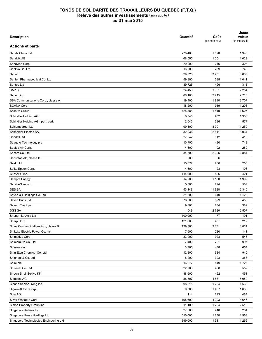| <b>Description</b>                     | Quantité | Coût<br>(en milliers \$) | Juste<br>valeur<br>(en milliers \$) |
|----------------------------------------|----------|--------------------------|-------------------------------------|
| <b>Actions et parts</b>                |          |                          |                                     |
| Sands China Ltd                        | 278 400  | 1898                     | 1 3 4 3                             |
| Sandvik AB                             | 68 595   | 1 0 0 1                  | 1 0 2 9                             |
| Sandvine Corp.                         | 70 900   | 246                      | 303                                 |
| Sankyo Co. Ltd                         | 16 000   | 739                      | 740                                 |
| Sanofi                                 | 29 8 20  | 3 2 8 1                  | 3638                                |
| Santen Pharmaceutical Co. Ltd          | 59 900   | 588                      | 1 0 4 1                             |
| Santos Ltd                             | 39 7 25  | 496                      | 313                                 |
| SAP SE                                 | 24 450   | 1 9 0 1                  | 2 2 5 4                             |
| Saputo inc.                            | 80 100   | 2 2 1 5                  | 2710                                |
| SBA Communications Corp., classe A     | 19 400   | 1940                     | 2707                                |
| SCANA Corp.                            | 18 200   | 939                      | 1 2 0 8                             |
| Scentre Group                          | 425 886  | 1419                     | 1 607                               |
| Schindler Holding AG                   | 6 0 4 6  | 982                      | 1 3 0 6                             |
| Schindler Holding AG - part. cert.     | 2646     | 396                      | 577                                 |
| Schlumberger Ltd                       | 99 300   | 8 9 0 1                  | 11 250                              |
| Schneider Electric SA                  | 32 236   | 2811                     | 3 0 3 4                             |
| Seadrill Ltd                           | 27 942   | 912                      | 419                                 |
| Seagate Technology plc                 | 10 700   | 480                      | 743                                 |
| Sealed Air Corp.                       | 4 600    | 102                      | 280                                 |
| Secom Co. Ltd                          | 34 500   | 2 0 2 5                  | 2884                                |
| Securitas AB, classe B                 | 500      | 6                        | 8                                   |
| Seek Ltd                               | 15 677   | 266                      | 253                                 |
| Seiko Epson Corp.                      | 4 600    | 123                      | 106                                 |
| SEMAFO inc.                            |          | 506                      | 421                                 |
|                                        | 114 000  |                          |                                     |
| Sempra Energy                          | 14 900   | 1 1 8 0                  | 1999                                |
| ServiceNow inc.                        | 5 3 0 0  | 294                      | 507                                 |
| <b>SES SA</b>                          | 53 148   | 1928                     | 2 3 4 5                             |
| Seven & I Holdings Co. Ltd             | 21 600   | 640                      | 1 1 2 0                             |
| Seven Bank Ltd                         | 76 000   | 329                      | 450                                 |
| Severn Trent plc                       | 9 3 0 1  | 234                      | 389                                 |
| <b>SGS SA</b>                          | 1 0 4 9  | 2730                     | 2 5 0 7                             |
| Shangri-La Asia Ltd                    | 100 000  | 177                      | 191                                 |
| Sharp Corp.                            | 121 000  | 431                      | 212                                 |
| Shaw Communications inc., classe B     | 139 300  | 3 3 8 1                  | 3824                                |
| Shikoku Electric Power Co. inc.        | 7 600    | 220                      | 141                                 |
| Shimadzu Corp.                         | 33 000   | 323                      | 548                                 |
| Shimamura Co. Ltd                      | 7 4 0 0  | 701                      | 997                                 |
| Shimano inc.                           | 3700     | 438                      | 657                                 |
| Shin-Etsu Chemical Co. Ltd             | 12 300   | 684                      | 940                                 |
| Shionogi & Co. Ltd                     | 8 2 0 0  | 393                      | 363                                 |
| Shire plc                              | 16 077   | 549                      | 1726                                |
| Shiseido Co. Ltd                       | 22 000   | 408                      | 552                                 |
| Showa Shell Sekiyu KK                  | 38 600   | 452                      | 451                                 |
| Siemens AG                             | 38 507   | 4581                     | 5 0 5 0                             |
| Sienna Senior Living inc.              | 98 815   | 1 2 8 4                  | 1533                                |
| Sigma-Aldrich Corp.                    | 9700     | 1 4 0 7                  | 1686                                |
| Sika AG                                | 114      | 293                      | 487                                 |
| Silver Wheaton Corp.                   | 195 600  | 4 9 0 3                  | 4 6 4 6                             |
| Simon Property Group inc.              | 11 100   | 1794                     | 2513                                |
| Singapore Airlines Ltd                 | 27 000   | 248                      | 284                                 |
| Singapore Press Holdings Ltd           | 510 000  | 1880                     | 1963                                |
| Singapore Technologies Engineering Ltd | 399 000  | 1 3 3 1                  | 1 2 5 6                             |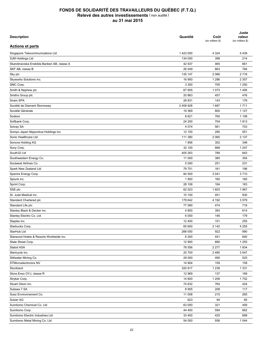| <b>Description</b>                         | Quantité  | Coût<br>(en milliers \$) | Juste<br>valeur<br>(en milliers \$) |
|--------------------------------------------|-----------|--------------------------|-------------------------------------|
| <b>Actions et parts</b>                    |           |                          |                                     |
| Singapore Telecommunications Ltd           | 1423000   | 4 3 2 4                  | 5439                                |
| SJM Holdings Ltd                           | 134 000   | 398                      | 214                                 |
| Skandinaviska Enskilda Banken AB, classe A | 42 937    | 465                      | 661                                 |
| SKF AB, classe B                           | 26 049    | 663                      | 784                                 |
| Sky plc                                    | 135 147   | 2 0 6 6                  | 2716                                |
| Skyworks Solutions inc.                    | 16 900    | 1 2 8 6                  | 2 3 0 7                             |
| SMC Corp.                                  | 3 3 0 0   | 705                      | 1 2 5 0                             |
| Smith & Nephew plc                         | 67 655    | 1 0 7 3                  | 1495                                |
| Smiths Group plc                           | 20 863    | 457                      | 476                                 |
| Snam SPA                                   | 28 831    | 143                      | 178                                 |
| Société de Diamant Stornoway               | 2 409 928 | 1687                     | 1711                                |
| Société Générale                           | 19 369    | 800                      | 1 1 2 7                             |
| Sodexo                                     | 8621      | 760                      | 1 1 0 8                             |
| Softbank Corp.                             | 24 200    | 704                      | 1813                                |
| Solvay SA                                  | 4 0 7 4   | 561                      | 703                                 |
| Sompo Japan Nipponkoa Holdings inc.        | 12 100    | 290                      | 551                                 |
| Sonic Healthcare Ltd                       | 111 380   | 2 0 6 5                  | 2 1 3 7                             |
| Sonova Holding AG                          | 1856      | 302                      | 348                                 |
| Sony Corp.                                 | 32 100    | 668                      | 1 2 4 7                             |
| South32 Ltd                                | 405 263   | 789                      | 843                                 |
| Southwestern Energy Co.                    | 11 000    | 385                      | 354                                 |
| Soutwest Airlines Co.                      | 5 0 0 0   | 251                      | 231                                 |
| Spark New Zealand Ltd                      | 79 751    | 161                      | 196                                 |
| Spectra Energy Corp.                       | 84 500    | 3 0 4 1                  | 3710                                |
| Splunk inc.                                | 1 900     | 160                      | 160                                 |
| Sprint Corp.                               | 28 108    | 184                      | 163                                 |
| SSE plc                                    | 62 023    | 1 603                    | 1967                                |
| St. Jude Medical inc.                      | 10 100    | 451                      | 930                                 |
| Standard Chartered plc                     | 179 642   | 4 1 9 2                  | 3579                                |
| Standard Life plc                          | 77 080    | 474                      | 716                                 |
|                                            |           |                          |                                     |
| Stanley Black & Decker inc.                | 4 800     | 393                      | 614                                 |
| Stanley Electric Co. Ltd                   | 6 0 0 0   | 146                      | 179                                 |
| Staples inc.                               | 12 400    | 151                      | 255                                 |
| Starbucks Corp.                            | 65 600    | 2 1 4 2                  | 4 2 5 5                             |
| StarHub Ltd                                | 266 000   | 922                      | 990                                 |
| Starwood Hotels & Resorts Worldwide inc.   | 6 200     | 441                      | 640                                 |
| State Street Corp.                         | 12 900    | 890                      | 1 2 5 5                             |
| Statoil ASA                                | 78 556    | 2 2 7 7                  | 1834                                |
| Stericycle inc.                            | 20 700    | 2485                     | 3547                                |
| Stillwater Mining Co.                      | 29 000    | 490                      | 525                                 |
| STMicroelectronics NV                      | 14 904    | 159                      | 159                                 |
| Stockland                                  | 320 917   | 1 2 3 9                  | 1 3 3 1                             |
| Stora Enso OYJ, classe R                   | 12 969    | 137                      | 169                                 |
| Stryker Corp.                              | 14 600    | 1 2 0 9                  | 1752                                |
| Stuart Olson inc.                          | 74 632    | 764                      | 424                                 |
| Subsea 7 SA                                | 8955      | 208                      | 117                                 |
| Suez Environnement Co.                     | 11 008    | 215                      | 265                                 |
| Sulzer AG                                  | 623       | 94                       | 85                                  |
| Sumitomo Chemical Co. Ltd                  | 63 000    | 321                      | 459                                 |
| Sumitomo Corp.                             | 44 400    | 594                      | 662                                 |
| Sumitomo Electric Industries Ltd           | 33 400    | 425                      | 668                                 |
| Sumitomo Metal Mining Co. Ltd              | 54 000    | 936                      | 1 0 4 4                             |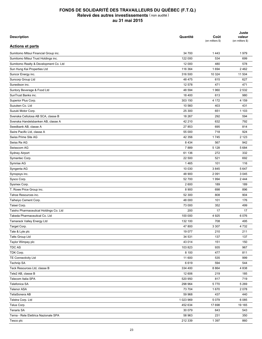| <b>Description</b>                     | Quantité        | Coût<br>(en milliers \$) | Juste<br>valeur<br>(en milliers \$) |
|----------------------------------------|-----------------|--------------------------|-------------------------------------|
| <b>Actions et parts</b>                |                 |                          |                                     |
| Sumitomo Mitsui Financial Group inc.   | 34 700          | 1 4 4 3                  | 1979                                |
| Sumitomo Mitsui Trust Holdings inc.    | 122 000         | 534                      | 699                                 |
| Sumitomo Realty & Development Co. Ltd  | 12 000          | 480                      | 578                                 |
| Sun Hung Kai Properties Ltd            | 116 364         | 1 6 9 4                  | 2 4 6 2                             |
| Suncor Energy inc.                     | 316 500         | 10 324                   | 11 504                              |
| Suncorp Group Ltd                      | 48 475          | 615                      | 627                                 |
| Sunedison inc.                         | 12 578          | 471                      | 471                                 |
| Suntory Beverage & Food Ltd            | 48 594          | 1960                     | 2 5 3 2                             |
| SunTrust Banks inc.                    | 18 400          | 613                      | 980                                 |
| Superior Plus Corp.                    | 303 150         | 4 172                    | 4 1 5 9                             |
| Suzuken Co. Ltd                        | 10 560          | 403                      | 431                                 |
| Suzuki Motor Corp.                     | 25 300          | 651                      | 1 1 0 3                             |
| Svenska Cellulosa AB SCA, classe B     | 18 267          | 292                      | 594                                 |
| Svenska Handelsbanken AB, classe A     | 42 210          | 632                      | 792                                 |
| Swedbank AB, classe A                  | 27 853          | 695                      | 814                                 |
| Swire Pacific Ltd, classe A            | 55 000          | 718                      | 924                                 |
| Swiss Prime Site AG                    | 42 356          | 1745                     | 2 1 2 3                             |
| Swiss Re AG                            | 8 4 3 4         | 567                      | 942                                 |
| Swisscom AG                            | 7889            | 5 1 2 8                  | 5 6 8 4                             |
| <b>Sydney Airport</b>                  | 61 136          | 272                      | 332                                 |
| Symantec Corp.                         | 22 500          | 521                      | 692                                 |
| Symrise AG                             | 1465            | 101                      | 116                                 |
| Syngenta AG                            | 10 030          | 3845                     | 5 6 4 7                             |
|                                        | 48 900          | 2 0 9 1                  | 3 0 4 5                             |
| Synopsys inc.                          |                 |                          |                                     |
| Sysco Corp.                            | 52 700<br>2 600 | 1 9 9 4                  | 2 4 4 4                             |
| Sysmex Corp.                           |                 | 189                      | 189                                 |
| T. Rowe Price Group inc.               | 8 9 0 0         | 698                      | 896                                 |
| Tahoe Resources inc.                   | 52 300          | 808                      | 904                                 |
| Taiheiyo Cement Corp.                  | 48 000          | 101                      | 176                                 |
| Taisei Corp.                           | 73 000          | 352                      | 499                                 |
| Taisho Pharmaceutical Holdings Co. Ltd | 200             | 17                       | 17                                  |
| Takeda Pharmaceutical Co. Ltd          | 100 000         | 4 9 2 5                  | 6076                                |
| <b>Tamarack Valley Energy Ltd</b>      | 132 100         | 708                      | 495                                 |
| Target Corp.                           | 47 800          | 3 3 0 7                  | 4 7 3 2                             |
| Tate & Lyle plc                        | 19 077          | 210                      | 211                                 |
| <b>Tatts Group Ltd</b>                 | 34 531          | 137                      | 137                                 |
| Taylor Wimpey plc                      | 43 014          | 151                      | 150                                 |
| <b>TDC AS</b>                          | 103823          | 935                      | 967                                 |
| TDK Corp.                              | 8 100           | 477                      | 811                                 |
| <b>TE Connectivity Ltd</b>             | 11 600          | 535                      | 999                                 |
| <b>Technip SA</b>                      | 6619            | 594                      | 544                                 |
| Teck Resources Ltd, classe B           | 334 400         | 8 8 6 4                  | 4 8 3 8                             |
| Tele2 AB, classe B                     | 12 606          | 219                      | 185                                 |
| Telecom Italia SPA                     | 520 950         | 817                      | 719                                 |
| Telefonica SA                          | 298 964         | 5770                     | 5 2 6 9                             |
| <b>Telenor ASA</b>                     | 73 704          | 1670                     | 2078                                |
| TeliaSonera AB                         | 59 968          | 437                      | 440                                 |
| Telstra Corp. Ltd                      | 1023969         | 5 0 7 9                  | 6 0 8 5                             |
| Telus Corp.                            | 452 634         | 17 698                   | 19 165                              |
| Tenaris SA                             | 30 079          | 643                      | 543                                 |
| Terna - Rete Elettrica Nazionale SPA   | 58 963          | 231                      | 350                                 |
| Tesco plc                              | 212 339         | 1 3 9 7                  | 860                                 |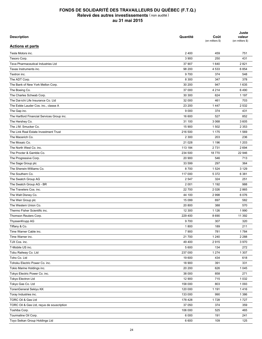| <b>Description</b>                         | Quantité | Coût<br>(en milliers \$) | Juste<br>valeur<br>(en milliers \$) |
|--------------------------------------------|----------|--------------------------|-------------------------------------|
| <b>Actions et parts</b>                    |          |                          |                                     |
| Tesla Motors inc.                          | 2 4 0 0  | 459                      | 751                                 |
| Tesoro Corp.                               | 3 900    | 250                      | 431                                 |
| Teva Pharmaceutical Industries Ltd         | 37 907   | 1640                     | 2821                                |
| Texas Instruments inc.                     | 98 200   | 4 5 3 3                  | 6854                                |
| Textron inc.                               | 9700     | 374                      | 548                                 |
| The ADT Corp.                              | 8 3 0 0  | 347                      | 378                                 |
| The Bank of New York Mellon Corp.          | 30 200   | 947                      | 1635                                |
| The Boeing Co.                             | 37 000   | 4 2 1 4                  | 6490                                |
| The Charles Schwab Corp.                   | 30 300   | 624                      | 1 1 9 7                             |
| The Dai-ichi Life Insurance Co. Ltd        | 32 000   | 461                      | 703                                 |
| The Estée Lauder Cos. inc., classe A       | 23 200   | 1 4 4 7                  | 2 5 3 2                             |
| The Gap inc.                               | 9 0 0 0  | 374                      | 431                                 |
| The Hartford Financial Services Group inc. | 16 600   | 527                      | 852                                 |
| The Hershey Co.                            | 31 100   | 3 0 6 8                  | 3 6 0 5                             |
| The J.M. Smucker Co.                       | 15 900   | 1 502                    | 2 3 5 3                             |
| The Link Real Estate Investment Trust      | 216 500  | 1 1 7 5                  | 1569                                |
| The Macerich Co.                           | 2 3 0 0  | 203                      | 236                                 |
| The Mosaic Co.                             | 21 0 28  | 1 1 9 6                  | 1 2 0 3                             |
| The North West Co. inc.                    | 113 184  | 2731                     | 2 6 9 4                             |
| The Procter & Gamble Co.                   | 234 500  | 18770                    | 22 946                              |
| The Progressive Corp.                      | 20 900   | 546                      | 713                                 |
| The Sage Group plc                         | 33 599   | 297                      | 364                                 |
| The Sherwin-Williams Co.                   | 8700     | 1 5 2 4                  | 3 1 2 9                             |
| The Southern Co.                           | 117 000  | 5 3 7 2                  | 6 3 8 1                             |
|                                            |          |                          |                                     |
| The Swatch Group AG                        | 2 5 4 7  | 324                      | 251                                 |
| The Swatch Group AG - BR                   | 2 0 0 1  | 1 1 9 2                  | 988                                 |
| The Travelers Cos. inc.                    | 22 700   | 2 0 2 6                  | 2865                                |
| The Walt Disney Co.                        | 44 100   | 2998                     | 6076                                |
| The Weir Group plc                         | 15 099   | 697                      | 582                                 |
| The Western Union Co.                      | 20 800   | 388                      | 570                                 |
| Thermo Fisher Scientific inc.              | 12 300   | 1 1 2 6                  | 1990                                |
| Thomson Reuters Corp.                      | 229 400  | 8690                     | 11 392                              |
| ThyssenKrupp AG                            | 9700     | 307                      | 320                                 |
| Tiffany & Co.                              | 1800     | 189                      | 211                                 |
| Time Warner Cable inc.                     | 7 9 0 0  | 781                      | 1784                                |
| Time Warner inc.                           | 21 700   | 1 2 4 0                  | 2 2 8 8                             |
| TJX Cos. inc.                              | 49 400   | 2915                     | 3 9 7 0                             |
| T-Mobile US inc.                           | 5 600    | 134                      | 272                                 |
| Tobu Railway Co. Ltd                       | 237 000  | 1 2 7 4                  | 1 3 0 7                             |
| Toho Co. Ltd                               | 19 600   | 434                      | 618                                 |
| Tohoku Electric Power Co. inc.             | 18 900   | 391                      | 331                                 |
| Tokio Marine Holdings inc.                 | 20 200   | 626                      | 1 0 4 5                             |
| Tokyo Electric Power Co. inc.              | 38 000   | 858                      | 271                                 |
| Tokyo Electron Ltd                         | 12 900   | 715                      | 1 0 3 2                             |
| Tokyo Gas Co. Ltd                          | 158 000  | 803                      | 1 0 9 3                             |
| TonenGeneral Sekiyu KK                     | 120 000  | 1 1 9 1                  | 1416                                |
| Toray Industries inc.                      | 133 000  | 990                      | 1 3 8 6                             |
| TORC Oil & Gas Ltd                         | 178 428  | 1728                     | 1727                                |
| TORC Oil & Gas Ltd, reçus de souscription  | 37 050   | 374                      | 359                                 |
| Toshiba Corp.                              | 106 000  | 525                      | 465                                 |
| Tourmaline Oil Corp.                       | 6 0 0 0  | 191                      | 241                                 |
| Toyo Seikan Group Holdings Ltd             | 6 600    | 109                      | 125                                 |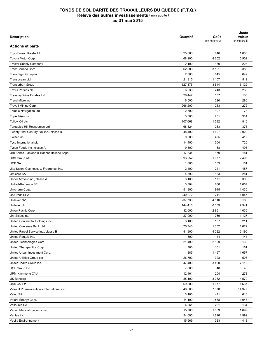| <b>Description</b>                         | Quantité | Coût<br>(en milliers \$) | Juste<br>valeur<br>(en milliers \$) |
|--------------------------------------------|----------|--------------------------|-------------------------------------|
| <b>Actions et parts</b>                    |          |                          |                                     |
| Toyo Suisan Kaisha Ltd                     | 25 000   | 816                      | 1 0 8 5                             |
| Toyota Motor Corp.                         | 68 200   | 4 202                    | 5 9 0 2                             |
| <b>Tractor Supply Company</b>              | 2 100    | 180                      | 228                                 |
| TransCanada Corp.                          | 62 800   | 3 1 9 1                  | 3 3 8 5                             |
| TransDigm Group inc.                       | 2 3 0 0  | 645                      | 649                                 |
| Transocean Ltd                             | 21 315   | 1 107                    | 512                                 |
| Transurban Group                           | 527 875  | 3844                     | 5 1 2 9                             |
| Travis Perkins plc                         | 6 2 3 9  | 243                      | 263                                 |
| <b>Treasury Wine Estates Ltd</b>           | 26 447   | 137                      | 136                                 |
| Trend Micro inc.                           | 6 500    | 220                      | 286                                 |
| Trevali Mining Corp.                       | 266 200  | 283                      | 272                                 |
| <b>Trimble Navigation Ltd</b>              | 2 500    | 107                      | 73                                  |
| TripAdvisor inc.                           | 3 3 0 0  | 251                      | 314                                 |
|                                            | 107 668  | 1 5 9 2                  | 810                                 |
| Tullow Oil plc                             |          |                          |                                     |
| Turquoise Hill Ressources Ltd              | 68 324   | 263                      | 373                                 |
| Twenty-First Century Fox inc., classe B    | 48 400   | 1 607                    | 2 0 2 0                             |
| Twitter inc.                               | 9 0 0 0  | 455                      | 412                                 |
| Tyco International plc                     | 14 400   | 504                      | 725                                 |
| Tyson Foods inc., classe A                 | 9 3 0 0  | 158                      | 493                                 |
| UBI Banca - Unione di Banche Italiane Scpa | 17834    | 179                      | 181                                 |
| <b>UBS Group AG</b>                        | 93 252   | 1677                     | 2 4 9 5                             |
| <b>UCB SA</b>                              | 1805     | 159                      | 161                                 |
| Ulta Salon, Cosmetics & Fragrance, inc.    | 2 4 0 0  | 241                      | 457                                 |
| Umicore SA                                 | 4 5 9 0  | 183                      | 281                                 |
| Under Armour inc., classe A                | 3 100    | 171                      | 303                                 |
| Unibail-Rodamco SE                         | 3 3 0 4  | 830                      | 1 0 5 7                             |
| Unicharm Corp.                             | 51 900   | 915                      | 1435                                |
| UniCredit SPA                              | 240 272  | 711                      | 1 0 4 7                             |
| Unilever NV                                | 237 736  | 4516                     | 6 186                               |
| Unilever plc                               | 144 415  | 6 1 6 9                  | 7941                                |
| Union Pacific Corp.                        | 32 000   | 2861                     | 4 0 3 0                             |
| Uni-Select inc.                            | 27 000   | 769                      | 1 1 2 7                             |
| United Continental Holdings inc.           | 3 100    | 137                      | 211                                 |
| United Overseas Bank Ltd                   | 75 740   | 1 3 5 2                  | 1622                                |
| United Parcel Service inc., classe B       | 41 900   | 4 0 2 2                  | 5 1 9 0                             |
| United Rentals inc.                        | 1 300    | 144                      | 144                                 |
| United Technologies Corp.                  | 21 400   | 2 109                    | 3 1 3 0                             |
| United Therapeutics Corp.                  | 700      | 161                      | 161                                 |
| United Urban Investment Corp.              | 885      | 1 4 9 7                  | 1657                                |
| United Utilities Group plc                 | 26 792   | 328                      | 508                                 |
| UnitedHealth Group inc.                    | 47 400   | 3 4 6 0                  | 7 1 1 2                             |
| <b>UOL Group Ltd</b>                       | 7 0 0 0  | 48                       | 48                                  |
| UPM-Kymmene OYJ                            | 12 4 61  | 204                      | 278                                 |
| US Bancorp                                 | 85 100   | 3 2 8 2                  | 4579                                |
| USS Co. Ltd                                | 69800    | 1 0 7 7                  | 1637                                |
| Valeant Pharmaceuticals International inc. | 48 500   | 7 3 7 0                  | 14 377                              |
| Valeo SA                                   | 3 100    | 471                      | 616                                 |
| Valero Energy Corp.                        | 14 100   | 538                      | 1 0 4 3                             |
| Vallourec SA                               | 4 3 6 1  | 261                      | 134                                 |
| Varian Medical Systems inc.                | 15 700   | 1583                     | 1697                                |
|                                            | 24 000   |                          | 1992                                |
| Ventas inc.                                |          | 1826                     |                                     |
| Veolia Environnement                       | 15 969   | 333                      | 413                                 |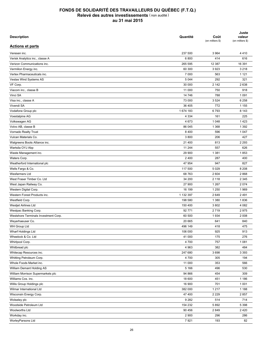| <b>Description</b>                   | Quantité  | Coût<br>(en milliers \$) | Juste<br>valeur<br>(en milliers \$) |
|--------------------------------------|-----------|--------------------------|-------------------------------------|
| <b>Actions et parts</b>              |           |                          |                                     |
| Veresen inc.                         | 237 500   | 3 9 6 4                  | 4410                                |
| Verisk Analytics inc., classe A      | 6800      | 414                      | 616                                 |
| Verizon Communications inc.          | 265 595   | 12 387                   | 16 391                              |
| Vermilion Energy inc.                | 60 300    | 3923                     | 3 2 1 8                             |
| Vertex Pharmaceuticals inc.          | 7 000     | 563                      | 1 1 2 1                             |
| Vestas Wind Systems AS               | 5 0 4 4   | 292                      | 321                                 |
| VF Corp.                             | 30 000    | 2 1 4 2                  | 2638                                |
| Viacom inc., classe B                | 11 000    | 750                      | 918                                 |
| Vinci SA                             | 14 746    | 788                      | 1 0 9 1                             |
| Visa inc., classe A                  | 73 000    | 3 5 24                   | 6 2 5 8                             |
| Vivendi SA                           | 36 405    | 772                      | 1 1 5 5                             |
| Vodafone Group plc                   | 1674 183  | 6793                     | 8 1 4 3                             |
| Voestalpine AG                       | 4 3 3 4   | 161                      | 225                                 |
| Volkswagen AG                        | 4 6 7 3   | 1 0 4 8                  | 1423                                |
| Volvo AB, classe B                   | 86 045    | 1 3 6 8                  | 1 3 9 2                             |
| Vornado Realty Trust                 | 8 4 0 0   | 596                      | 1 0 4 7                             |
| Vulcan Materials Co.                 | 3800      | 206                      | 427                                 |
| Walgreens Boots Alliance inc.        | 21 400    | 813                      | 2 2 9 3                             |
| Wartsila OYJ Abp                     | 11 244    | 557                      | 626                                 |
| Waste Management inc.                | 29 900    | 1 3 8 1                  | 1853                                |
| Waters Corp.                         | 2 4 0 0   | 287                      | 400                                 |
| Weatherford International plc        | 47 954    | 947                      | 827                                 |
| Wells Fargo & Co.                    | 117 500   | 5 0 2 9                  | 8 2 0 8                             |
| <b>Wesfarmers Ltd</b>                | 68 763    | 2 604                    | 2868                                |
| West Fraser Timber Co. Ltd           | 34 200    | 2 1 1 8                  | 2 3 4 5                             |
| West Japan Railway Co.               | 27 900    | 1 2 6 7                  | 2 0 7 4                             |
| Western Digital Corp.                | 16 199    | 1 2 5 0                  | 1969                                |
| Western Forest Products inc.         | 1 132 397 | 2649                     | 2 4 9 1                             |
| Westfield Corp.                      | 198 580   | 1 3 8 0                  | 1836                                |
| <b>Westjet Airlines Ltd</b>          | 150 400   | 3802                     | 4 0 8 2                             |
| Westpac Banking Corp.                | 92 771    | 2719                     | 2975                                |
| Westshore Terminals Investment Corp. | 60 500    | 1934                     | 2 0 0 8                             |
| Weyerhaeuser Co.                     |           |                          |                                     |
|                                      | 20 665    | 641                      | 840                                 |
| WH Group Ltd                         | 496 149   | 418                      | 475                                 |
| Wharf Holdings Ltd                   | 106 000   | 925                      | 913                                 |
| Wheelock & Co. Ltd                   | 41 000    | 175                      | 276                                 |
| Whirlpool Corp.                      | 4700      | 757                      | 1 0 8 1                             |
| Whitbread plc                        | 4 9 6 3   | 382                      | 484                                 |
| Whitecap Resources inc.              | 247 680   | 3698                     | 3 3 9 3                             |
| Whitting Petroleum Corp.             | 4 700     | 305                      | 194                                 |
| Whole Foods Market inc.              | 11 000    | 353                      | 566                                 |
| William Demant Holding AS            | 5 1 6 6   | 496                      | 530                                 |
| William Morrison Supermarkets plc    | 94 866    | 454                      | 309                                 |
| Williams Cos. inc.                   | 18 600    | 451                      | 1 1 8 6                             |
| Willis Group Holdings plc            | 16 900    | 701                      | 1 0 0 1                             |
| Wilmar International Ltd             | 382 000   | 1 2 1 7                  | 1 1 8 8                             |
| Wisconsin Energy Corp.               | 47 400    | 2 2 2 9                  | 2857                                |
| Wolseley plc                         | 9 2 8 2   | 514                      | 714                                 |
| Woodside Petroleum Ltd               | 154 232   | 5892                     | 5 3 9 8                             |
| Woolworths Ltd                       | 90 456    | 2849                     | 2420                                |
| Workday inc.                         | 2 9 0 0   | 296                      | 286                                 |
| WorleyParsons Ltd                    | 7921      | 193                      | 82                                  |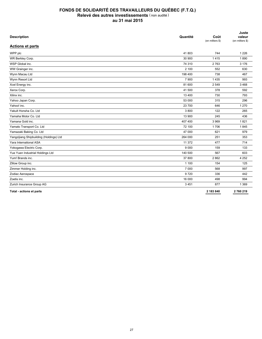| <b>Description</b>                      | Quantité | Coût<br>(en milliers \$) | Juste<br>valeur<br>(en milliers \$) |
|-----------------------------------------|----------|--------------------------|-------------------------------------|
| <b>Actions et parts</b>                 |          |                          |                                     |
| WPP plc                                 | 41803    | 744                      | 1 2 2 6                             |
| WR Berkley Corp.                        | 30 900   | 1415                     | 1890                                |
| WSP Global inc.                         | 74 310   | 2763                     | 3 1 7 6                             |
| WW Grainger inc.                        | 2 100    | 552                      | 630                                 |
| Wynn Macau Ltd                          | 198 400  | 738                      | 467                                 |
| Wynn Resort Ltd                         | 7 900    | 1435                     | 993                                 |
| Xcel Energy inc.                        | 81 600   | 2 5 4 9                  | 3468                                |
| Xerox Corp.                             | 41 500   | 378                      | 592                                 |
| Xilinx inc.                             | 13 400   | 730                      | 793                                 |
| Yahoo Japan Corp.                       | 53 000   | 315                      | 296                                 |
| Yahoo! inc.                             | 23 700   | 646                      | 1 2 7 0                             |
| Yakult Honsha Co. Ltd                   | 3800     | 122                      | 265                                 |
| Yamaha Motor Co. Ltd.                   | 13 900   | 245                      | 436                                 |
| Yamana Gold inc.                        | 407 400  | 3 9 6 9                  | 1821                                |
| Yamato Transport Co. Ltd                | 72 100   | 1706                     | 1845                                |
| Yamazaki Baking Co. Ltd                 | 47 000   | 621                      | 979                                 |
| Yangzijiang Shipbuilding (Holdings) Ltd | 264 000  | 251                      | 353                                 |
| Yara International ASA                  | 11 372   | 477                      | 714                                 |
| Yokogawa Electric Corp.                 | 9 0 0 0  | 159                      | 133                                 |
| Yue Yuen Industrial Holdings Ltd        | 140 500  | 567                      | 603                                 |
| Yum! Brands inc.                        | 37 800   | 2862                     | 4 2 5 2                             |
| Zillow Group inc.                       | 1 100    | 154                      | 125                                 |
| Zimmer Holding inc.                     | 7 0 0 0  | 568                      | 997                                 |
| Zodiac Aerospace                        | 9720     | 336                      | 442                                 |
| Zoetis inc.                             | 16 000   | 498                      | 994                                 |
| Zurich Insurance Group AG               | 3451     | 877                      | 1 3 6 9                             |
| Total - actions et parts                |          | 2 183 840                | 2760219                             |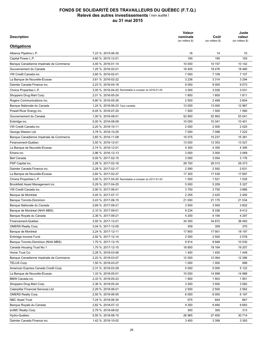| Description                             |                                                      | Valeur<br>nominale<br>(en milliers \$) | Coût<br>(en milliers \$) | Juste<br>valeur<br>(en milliers \$) |
|-----------------------------------------|------------------------------------------------------|----------------------------------------|--------------------------|-------------------------------------|
| <b>Obligations</b>                      |                                                      |                                        |                          |                                     |
| Alliance Pipeline L.P.                  | 7,23 % 2015-06-30                                    | 16                                     | 14                       | 10                                  |
| Capital Power L.P.                      | 4,60 % 2015-12-01                                    | 190                                    | 190                      | 193                                 |
| Banque Canadienne Impériale de Commerce | 3,40 % 2016-01-14                                    | 10 000                                 | 10 157                   | 10 142                              |
| Gouvernement du Canada                  | 1,25 % 2016-02-01                                    | 18 405                                 | 18 4 76                  | 18 4 8 0                            |
| VW Credit Canada inc.                   | 3,60 % 2016-02-01                                    | 7 0 0 0                                | 7 109                    | 7 107                               |
| La Banque de Nouvelle-Écosse            | 3,61 % 2016-02-22                                    | 3 2 3 6                                | 3 3 1 4                  | 3 2 9 4                             |
| Daimler Canada Finance inc.             | 2,23 % 2016-04-18                                    | 9 0 0 0                                | 9 0 0 0                  | 9073                                |
| Choice Properties L.P.                  | 3,00 % 2016-04-20 Rachetable à compter du 2016-01-20 | 3 0 0 0                                | 3 0 26                   | 3 0 3 1                             |
| Shoppers Drug Mart Corp.                | 2,01 % 2016-05-24                                    | 1800                                   | 1800                     | 1811                                |
| Rogers Communications inc.              | 5,80 % 2016-05-26                                    | 2 500                                  | 2 4 9 9                  | 2 604                               |
| Banque Nationale du Canada              | 1,24 % 2016-06-23 Taux variable                      | 13 000                                 | 13 000                   | 12 967                              |
| Powell River Energy inc.                | 6,45 % 2016-07-25                                    | 1500                                   | 1 500                    | 1560                                |
| Gouvernement du Canada                  | 1,00 % 2016-08-01                                    | 52 800                                 | 52 993                   | 53 041                              |
| Enbridge inc.                           | 5,00 % 2016-08-09                                    | 10 000                                 | 10 341                   | 10 401                              |
| VW Credit Canada inc.                   | 2,20 % 2016-10-11                                    | 2 0 0 0                                | 2 0 0 0                  | 2 0 2 5                             |
| George Weston Ltd                       | 3,78 % 2016-10-25                                    | 7 000                                  | 7 0 9 8                  | 7 2 2 2                             |
| Banque Canadienne Impériale de Commerce | 2,65 % 2016-11-08                                    | 15 075                                 | 15 237                   | 15 381                              |
| Financement-Québec                      | 3,50 % 2016-12-01                                    | 13 000                                 | 13 353                   | 13 5 27                             |
| La Banque de Nouvelle-Écosse            | 2,74 % 2016-12-01                                    | 4 300                                  | 4 3 5 5                  | 4 3 9 5                             |
| Emera inc.                              |                                                      | 3 0 0 0                                | 3 0 0 0                  | 3 0 6 9                             |
|                                         | 2,96 % 2016-12-13                                    |                                        |                          | 3 1 7 6                             |
| <b>Bell Canada</b>                      | 5,00 % 2017-02-15                                    | 3 0 0 0                                | 3 0 5 4                  |                                     |
| PSP Capital inc.                        | 2,26 % 2017-02-16                                    | 28 700                                 | 29 313                   | 29 373                              |
| Daimler Canada Finance inc.             | 2,28 % 2017-02-17                                    | 2 5 9 0                                | 2 5 9 2                  | 2631                                |
| La Banque de Nouvelle-Écosse            | 2,60 % 2017-02-27                                    | 17 300                                 | 17 539                   | 17 697                              |
| Choice Properties L.P.                  | 3,00 % 2017-04-20 Rachetable à compter du 2017-01-20 | 1 500                                  | 1 5 2 1                  | 1535                                |
| Brookfield Asset Management inc.        | 5,29 % 2017-04-25                                    | 5 0 0 0                                | 5 2 0 9                  | 5 3 2 7                             |
| VW Credit Canada inc.                   | 2,90 % 2017-06-01                                    | 3750                                   | 3750                     | 3866                                |
| Banque de Montréal                      | 5,45 % 2017-07-17                                    | 2 2 5 5                                | 2425                     | 2 4 5 0                             |
| <b>Banque Toronto-Dominion</b>          | 2,43 % 2017-08-15                                    | 21 000                                 | 21 175                   | 21 534                              |
| Banque Nationale du Canada              | 2,69 % 2017-08-21                                    | 3 500                                  | 3 500                    | 3 6 0 2                             |
| Banque de Montréal (NHA MBS)            | 2,10 % 2017-09-01                                    | 9 2 3 4                                | 9 3 3 6                  | 9412                                |
| Banque Royale du Canada                 | 2,36 % 2017-09-21                                    | 4 200                                  | 4 1 9 4                  | 4 2 9 7                             |
| Financement-Québec                      | 3,50 % 2017-12-01                                    | 34 300                                 | 34 872                   | 36 493                              |
| <b>OMERS Realty Corp.</b>               | 3,04 % 2017-12-05                                    | 359                                    | 359                      | 370                                 |
| Banque de Montréal                      | 2,24 % 2017-12-11                                    | 17 800                                 | 17 901                   | 18 197                              |
| Enbridge Income Fund                    | 2,92 % 2017-12-14                                    | 2 500                                  | 2 500                    | 2 5 7 8                             |
| Banque Toronto-Dominion (NHA MBS)       | 1,70 % 2017-12-15                                    | 9914                                   | 9948                     | 10 030                              |
| Canada Housing Trust No 1               | 1,70 % 2017-12-15                                    | 18 800                                 | 19 164                   | 19 207                              |
| Home Trust Co.                          | 2,28 % 2018-03-06                                    | 1450                                   | 1450                     | 1449                                |
| Banque Canadienne Impériale de Commerce | 2,22 % 2018-03-07                                    | 12 000                                 | 12 064                   | 12 2 8 6                            |
| TELUS Corp.                             | 1,50 % 2018-03-27                                    | 1 0 0 0                                | 1 0 0 0                  | 999                                 |
| American Express Canada Credit Corp.    | 2,31 % 2018-03-29                                    | 5 0 0 0                                | 5 0 0 0                  | 5 1 2 2                             |
| La Banque de Nouvelle-Écosse            | 1,33 % 2018-05-01                                    | 15 000                                 | 14 998                   | 14 968                              |
| BMW Canada inc.                         | 2,33 % 2018-05-23                                    | 1 900                                  | 1903                     | 1951                                |
| Shoppers Drug Mart Corp.                | 2,36 % 2018-05-24                                    | 3 500                                  | 3 500                    | 3582                                |
| Caterpillar Financial Services Ltd      | 2,29 % 2018-06-01                                    | 2 500                                  | 2 500                    | 2 5 6 2                             |
| <b>OMERS Realty Corp.</b>               | 2,50 % 2018-06-05                                    | 6 0 0 0                                | 6 0 0 0                  | 6 197                               |
| <b>NBC Asset Trust</b>                  | 7,24 % 2018-06-30                                    | 575                                    | 644                      | 667                                 |
| Banque Royale du Canada                 | 2,82 % 2018-07-12                                    | 9 3 0 0                                | 9485                     | 9683                                |
| bcIMC Realty Corp.                      | 2,79 % 2018-08-02                                    | 300                                    | 305                      | 313                                 |
| Hydro-Québec                            | 5,50 % 2018-08-15                                    | 26 965                                 | 27 400                   | 30 714                              |
| Daimler Canada Finance inc.             | 1,42 % 2018-10-02                                    | 3 4 0 0                                | 3 3 9 9                  | 3 3 9 3                             |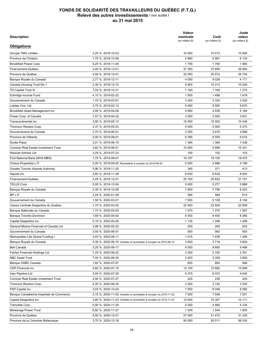| Description                                                  |                                                                  | Valeur<br>nominale<br>(en milliers \$) | Coût<br>(en milliers \$) | Juste<br>valeur<br>(en milliers \$) |
|--------------------------------------------------------------|------------------------------------------------------------------|----------------------------------------|--------------------------|-------------------------------------|
| <b>Obligations</b>                                           |                                                                  |                                        |                          |                                     |
| Groupe TMX Limitée                                           | 3,25 % 2018-10-03                                                | 10 000                                 | 10 013                   | 10 564                              |
| Province de l'Ontario                                        | 1.75 % 2018-10-09                                                | 5 9 9 0                                | 5981                     | 6 133                               |
| Brookfield Power Corp.                                       | 5,25 % 2018-11-05                                                | 1790                                   | 1790                     | 1983                                |
| Financement-Québec                                           | 2,40 % 2018-12-01                                                | 37 300                                 | 37 858                   | 38 954                              |
| Province de Québec                                           | 4,50 % 2018-12-01                                                | 32 000                                 | 35 572                   | 35 734                              |
| Banque Royale du Canada                                      | 2,77 % 2018-12-11                                                | 4 0 0 0                                | 4 0 28                   | 4 1 7 1                             |
| Canada Housing Trust No 1                                    | 2,35 % 2018-12-15                                                | 9800                                   | 10 313                   | 10 254                              |
| TD Capital Trust III                                         | 7,24 % 2018-12-31                                                | 1 1 6 0                                | 1 1 6 0                  | 1 3 7 5                             |
| Enbridge Income Fund                                         | 4,10 % 2019-02-22                                                | 1500                                   | 1498                     | 1618                                |
| Gouvernement du Canada                                       | 1,75 % 2019-03-01                                                | 3 200                                  | 3 3 2 0                  | 3 3 3 0                             |
| Loblaw Cos. Ltd                                              | 3,75 % 2019-03-12                                                | 9 0 0 0                                | 9 0 0 0                  | 9670                                |
| Brookfield Asset Management inc.                             | 3,95 % 2019-04-09                                                | 4 8 5 0                                | 4935                     | 5 1 8 4                             |
| Power Corp. of Canada                                        | 7,57 % 2019-04-22                                                | 3 0 0 0                                | 3 0 0 0                  | 3631                                |
| Transcontinental inc.                                        | 3,90 % 2019-05-13                                                | 10 000                                 | 10 002                   | 10 436                              |
| Thomson Reuters Corp.                                        | 3,37 % 2019-05-23                                                | 5 0 0 0                                | 5 0 0 0                  | 5 2 7 0                             |
| Gouvernement du Canada                                       | 3,75 % 2019-06-01                                                | 3 3 0 0                                | 3670                     | 3696                                |
| Province de l'Alberta                                        | 2,00 % 2019-06-01                                                | 6 3 9 5                                | 6 5 5 0                  | 6614                                |
| Scotia Plaza                                                 | 3,21 % 2019-06-15                                                | 1 3 8 4                                | 1 3 8 4                  | 1436                                |
| <b>Cominar Real Estate Investment Trust</b>                  | 3,62 % 2019-06-21                                                | 10 000                                 | 9999                     | 10 321                              |
| WestJet Airlines Ltd                                         | 3,29 % 2019-07-23                                                | 100                                    | 100                      | 103                                 |
| First National Bank (NHA MBS)                                | 1,75 % 2019-08-01                                                | 19 167                                 | 19 100                   | 19 475                              |
|                                                              | 3,00 % 2019-09-20 Rachetable à compter du 2019-06-20             | 5 0 0 0                                | 4 9 9 8                  | 5 1 8 6                             |
| Choice Properties L.P.<br>Greater Toronto Airports Authority | 5,96 % 2019-11-20                                                | 345                                    | 371                      | 413                                 |
|                                                              |                                                                  | 8 6 3 0                                | 8630                     | 8 9 4 2                             |
| Saputo inc.                                                  | 2,65 % 2019-11-26                                                |                                        |                          |                                     |
| Financement-Québec                                           | 2,45 % 2019-12-01                                                | 20 700                                 | 20 652                   | 21 741                              |
| TELUS Corp.                                                  | 5,05 % 2019-12-04                                                | 5 0 0 0                                | 5 2 7 7                  | 5 6 6 8                             |
| Banque Royale du Canada                                      | 2,35 % 2019-12-09                                                | 7800                                   | 7799                     | 8 0 2 3                             |
| BP L.P.                                                      | 3,24 % 2020-01-09                                                | 585                                    | 589                      | 610                                 |
| Gouvernement du Canada                                       | 1,50 % 2020-03-01                                                | 7955                                   | 8 1 0 8                  | 8 1 8 4                             |
| Caisse Centrale Desjardins du Québec                         | 1,75 % 2020-03-02                                                | 22 920                                 | 22 9 29                  | 22 859                              |
| Banque Nationale du Canada                                   | 1,74 % 2020-03-03                                                | 1 0 7 0                                | 1070                     | 1 0 6 7                             |
| <b>Banque Toronto-Dominion</b>                               | 1,69 % 2020-04-02                                                | 8400                                   | 8 4 0 0                  | 8 3 8 0                             |
| Capital Desjardins inc.                                      | 5,19 % 2020-05-05                                                | 1 1 3 5                                | 1 2 9 9                  | 1 2 9 9                             |
| General Motors Financial of Canada Ltd                       | 3,08 % 2020-05-22                                                | 200                                    | 200                      | 203                                 |
| Gouvernement du Canada                                       | 3,50 % 2020-06-01                                                | 500                                    | 563                      | 563                                 |
| Metropolitan Life Global Funding I                           | 3.03 % 2020-06-11                                                | 1415                                   | 1439                     | 1485                                |
| Banque Royale du Canada                                      | 4,35 % 2020-06-15 Variable et rachetable à compter du 2015-06-15 | 3600                                   | 3718                     | 3 604                               |
| Bell Canada                                                  | 3,25 % 2020-06-17                                                | 9 0 0 0                                | 8890                     | 9468                                |
| Fairfax Financial Holdings Ltd                               | 7,25 % 2020-06-22                                                | 2 0 0 0                                | 2 3 3 2                  | 2 3 5 1                             |
| <b>NBC Asset Trust</b>                                       | 7,45 % 2020-06-30                                                | 2925                                   | 3 3 5 9                  | 3605                                |
| Banque HSBC Canada                                           | 1,82 % 2020-07-07                                                | 850                                    | 850                      | 846                                 |
| CDP Financial inc.                                           | 4,60 % 2020-07-15                                                | 12 150                                 | 12 682                   | 13 948                              |
| Inter Pipeline Ltd                                           | 3,45 % 2020-07-20                                                | 9 3 7 5                                | 9372                     | 9935                                |
| <b>Cominar Real Estate Investment Trust</b>                  | 4,94 % 2020-07-27                                                | 225                                    | 236                      | 243                                 |
| Thomson Reuters Corp.                                        | 4,35 % 2020-09-30                                                | 3 000                                  | 3 142                    | 3 3 0 5                             |
| PSP Capital inc.                                             | 3,03 % 2020-10-22                                                | 7 500                                  | 8 0 4 9                  | 8 0 8 2                             |
| Banque Canadienne Impériale de Commerce                      | 3,15 % 2020-11-02 Variable et rachetable à compter du 2015-11-02 | 7 000                                  | 7 5 4 6                  | 7 0 5 1                             |
| Capital Desjardins inc.                                      | 3,80 % 2020-11-23 Variable et rachetable à compter du 2015-11-23 | 10 000                                 | 10 307                   | 10 111                              |
| TransAlta Corp.                                              | 5,00 % 2020-11-25                                                | 5 0 0 0                                | 4 9 8 0                  | 5 2 3 4                             |
| Mississagi Power Trust                                       | 6,92 % 2020-11-27                                                | 1545                                   | 1545                     | 1850                                |
| Province de Québec                                           | 4,50 % 2020-12-01                                                | 27 000                                 | 31 472                   | 31 230                              |
| Province de la Colombie Britannique                          | 3,70 % 2020-12-18                                                | 50 000                                 | 55 511                   | 56 030                              |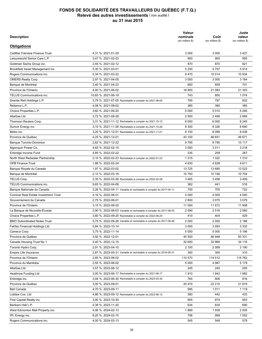| <b>Description</b>                          |                                                                           | Valeur<br>nominale<br>(en milliers \$) | Coût<br>(en milliers \$) | Juste<br>valeur<br>(en milliers \$) |
|---------------------------------------------|---------------------------------------------------------------------------|----------------------------------------|--------------------------|-------------------------------------|
| <b>Obligations</b>                          |                                                                           |                                        |                          |                                     |
| <b>Cadillac Fairview Finance Trust</b>      | 4,31 % 2021-01-25                                                         | 3 0 0 0                                | 3 0 0 0                  | 3 4 2 7                             |
| Leisureworld Senior Care L.P.               | 3.47 % 2021-02-03                                                         | 900                                    | 900                      | 955                                 |
| Goldman Sachs Group inc.                    | 3,55 % 2021-02-12                                                         | 870                                    | 870                      | 921                                 |
| Brookfield Asset Management inc.            | 5,30 % 2021-03-01                                                         | 5 200                                  | 5757                     | 5914                                |
| Rogers Communications inc.                  | 5,34 % 2021-03-22                                                         | 9470                                   | 10 014                   | 10 934                              |
| <b>OMERS Realty Corp.</b>                   | 2,97 % 2021-04-05                                                         | 3 0 0 0                                | 3 0 0 0                  | 3 1 6 4                             |
| Banque de Montréal                          | 3,40 % 2021-04-23                                                         | 650                                    | 659                      | 701                                 |
| Province de l'Ontario                       | 4,00 % 2021-06-02                                                         | 18 800                                 | 21 083                   | 21 303                              |
| TELUS Communications inc.                   | 10,65 % 2021-06-19                                                        | 743                                    | 850                      | 1 0 7 4                             |
| Granite Reit Holdings L.P.                  | 3,79 % 2021-07-05 Rachetable à compter du 2021-06-05                      | 795                                    | 797                      | 832                                 |
| Reliance L.P.                               | 4,08 % 2021-08-02                                                         | 385                                    | 385                      | 385                                 |
| Choice Properties L.P.                      | 3,60 % 2021-09-20                                                         | 5 0 0 0                                | 5012                     | 5 2 8 5                             |
| AltaGas Ltd                                 | 3,72 % 2021-09-28                                                         | 2 500                                  | 2499                     | 2 6 6 9                             |
| Thomson Reuters Corp.                       | 3,31 % 2021-11-12 Rachetable à compter du 2021-10-12                      | 6 0 0 0                                | 6 0 0 0                  | 6 2 4 5                             |
|                                             | 3,10 % 2021-11-26 Rachetable à compter du 2021-10-26                      | 8 3 0 0                                | 8 3 2 6                  | 8690                                |
| Suncor Energy inc.                          |                                                                           |                                        | 8 0 9 9                  | 8438                                |
| Metro inc.<br>Province de Québec            | 3,20 % 2021-12-01 Rachetable à compter du 2021-11-01<br>4.25 % 2021-12-01 | 8 100<br>43 100                        |                          | 49 671                              |
|                                             |                                                                           |                                        | 46 651                   |                                     |
| <b>Banque Toronto-Dominion</b>              | 2,62 % 2021-12-22                                                         | 9795                                   | 9795                     | 10 117                              |
| Algonquin Power Co.                         | 4,65 % 2022-02-15                                                         | 3 0 0 0                                | 3 0 1 1                  | 3 2 1 8                             |
| Enbridge Income Fund                        | 4,85 % 2022-02-22                                                         | 235                                    | 259                      | 267                                 |
| North West Redwater Partnership             | 2,10 % 2022-02-23 Rachetable à compter du 2022-01-23                      | 1 3 1 5                                | 1 3 2 2                  | 1 3 1 0                             |
| <b>OPB Finance Trust</b>                    | 1,88 % 2022-02-24                                                         | 4 6 3 0                                | 4 6 28                   | 4611                                |
| Banque Royale du Canada                     | 1,97 % 2022-03-02                                                         | 13725                                  | 13 685                   | 13 522                              |
| Banque de Montréal                          | 2,12 % 2022-03-16                                                         | 10 750                                 | 10 746                   | 10 704                              |
| TELUS Corp.                                 | 2,35 % 2022-03-28 Rachetable à compter du 2022-02-28                      | 3 4 6 5                                | 3456                     | 3 4 0 9                             |
| TELUS Communications inc.                   | 9,65 % 2022-04-08                                                         | 362                                    | 441                      | 516                                 |
| Banque Nationale du Canada                  | 3,26 % 2022-04-11 Variable et rachetable à compter du 2017-04-11          | 700                                    | 700                      | 722                                 |
| <b>Cominar Real Estate Investment Trust</b> | 4,16 % 2022-06-01                                                         | 4 0 0 0                                | 4 0 0 0                  | 4 0 0 0                             |
| Gouvernement du Canada                      | 2,75 % 2022-06-01                                                         | 2800                                   | 3075                     | 3078                                |
| Province de l'Ontario                       | 3,15 % 2022-06-02                                                         | 11 000                                 | 11872                    | 11 908                              |
| La Banque de Nouvelle-Écosse                | 2,90 % 2022-08-03 Variable et rachetable à compter du 2017-08-03          | 2490                                   | 2516                     | 2 5 6 0                             |
| Choice Properties L.P.                      | 3,60 % 2022-09-20 Rachetable à compter du 2022-06-20                      | 410                                    | 404                      | 429                                 |
| <b>BMO Subordinated Notes Trust</b>         | 5,75 % 2022-09-26 Variable et rachetable à compter du 2017-09-26          | 2 000                                  | 2 0 0 0                  | 2 188                               |
| Fairfax Financial Holdings Ltd              | 5,84 % 2022-10-14                                                         | 3 0 0 0                                | 3 0 9 3                  | 3 3 3 2                             |
| Cameco Corp.                                | 3,75 % 2022-11-14                                                         | 5 0 0 0                                | 5 0 0 0                  | 5 1 9 6                             |
| Province de Québec                          | 3,50 % 2022-12-01                                                         | 45 500                                 | 46 948                   | 50 331                              |
| Canada Housing Trust No 1                   | 2,40 % 2022-12-15                                                         | 32 600                                 | 32 969                   | 34 116                              |
| Toronto Hydro Corp.                         | 2,91 % 2023-04-10                                                         | 2 100                                  | 2 0 8 9                  | 2 190                               |
| Empire Life Insurance                       | 2,87 % 2023-05-31 Variable et rachetable à compter du 2018-05-31          | 300                                    | 300                      | 310                                 |
| Province de l'Ontario                       | 2,85 % 2023-06-02                                                         | 110 570                                | 114 512                  | 116 762                             |
| Province du Manitoba                        | 2,55 % 2023-06-02                                                         | 5 0 0 0                                | 4987                     | 5 1 7 9                             |
| AltaGas Ltd                                 | 3,57 % 2023-06-12                                                         | 245                                    | 245                      | 255                                 |
| <b>Heathrow Funding Ltd</b>                 | 3,00 % 2023-06-17 Rachetable à compter du 2021-06-17                      | 1910                                   | 1943                     | 1982                                |
| Enbridge inc.                               | 3,94 % 2023-06-30 Rachetable à compter du 2023-03-30                      | 765                                    | 808                      | 816                                 |
| Province de Québec                          | 3,00 % 2023-09-01                                                         | 20 470                                 | 22 210                   | 21819                               |
| <b>Bell Canada</b>                          | 4,70 % 2023-09-11                                                         | 995                                    | 1011                     | 1 1 1 9                             |
| Loblaw Cos. Ltd                             | 4,86 % 2023-09-12 Rachetable à compter du 2023-06-12                      | 380                                    | 442                      | 433                                 |
| First Capital Realty inc.                   | 3,90 % 2023-10-30                                                         | 905                                    | 874                      | 953                                 |
| Bankers Hall L.P.                           | 4,38 % 2023-11-20                                                         | 634                                    | 634                      | 690                                 |
| West Edmonton Mall Property inc.            | 4,06 % 2024-02-13                                                         | 1899                                   | 1939                     | 2 0 0 5                             |
| IPL Energy inc.                             | 8,20 % 2024-02-15                                                         | 756                                    | 999                      | 1 0 5 2                             |
| Rogers Communications inc.                  | 4,00 % 2024-03-13                                                         | 545                                    | 548                      | 579                                 |
|                                             |                                                                           |                                        |                          |                                     |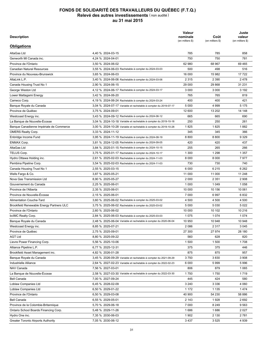| Description                                |                                                                  | Valeur<br>nominale<br>(en milliers \$) | Coût<br>(en milliers \$) | Juste<br>valeur<br>(en milliers \$) |
|--------------------------------------------|------------------------------------------------------------------|----------------------------------------|--------------------------|-------------------------------------|
| <b>Obligations</b>                         |                                                                  |                                        |                          |                                     |
| AltaGas Ltd                                | 4,40 % 2024-03-15                                                | 785                                    | 785                      | 858                                 |
| Genworth MI Canada inc.                    | 4,24 % 2024-04-01                                                | 750                                    | 750                      | 781                                 |
| Province de l'Ontario                      | 3,50 % 2024-06-02                                                | 62 980                                 | 68 967                   | 69 4 65                             |
| <b>Canadian Natural Resources</b>          | 3,55 % 2024-06-03 Rachetable à compter du 2024-03-03             | 500                                    | 498                      | 516                                 |
| Province du Nouveau-Brunswick              | 3,65 % 2024-06-03                                                | 16 000                                 | 15 982                   | 17722                               |
| AltaLink L.P.                              | 3,40 % 2024-06-06 Rachetable à compter du 2024-03-06             | 2 3 1 5                                | 2 3 9 0                  | 2478                                |
| Canada Housing Trust No 1                  | 2.90 % 2024-06-15                                                | 29 000                                 | 29 868                   | 31 231                              |
| George Weston Ltd                          | 4,12 % 2024-06-17 Rachetable à compter du 2024-03-17             | 3 0 0 0                                | 3 0 0 0                  | 3 1 9 2                             |
| Lower Mattagami Energy                     | 3,42 % 2024-06-20                                                | 765                                    | 765                      | 819                                 |
| Cameco Corp.                               | 4,19 % 2024-06-24 Rachetable à compter du 2024-03-24             | 400                                    | 400                      | 421                                 |
| Banque Royale du Canada                    | 3,04 % 2024-07-17 Variable et rachetable à compter du 2019-07-17 | 5 0 0 0                                | 4999                     | 5 1 7 5                             |
| Province de Québec                         | 3,75 % 2024-09-01                                                | 12 600                                 | 13 20 2                  | 14 148                              |
| Westcoast Energy inc.                      | 3,43 % 2024-09-12 Rachetable à compter du 2024-06-12             | 665                                    | 665                      | 690                                 |
| La Banque de Nouvelle-Écosse               | 3,04 % 2024-10-18 Variable et rachetable à compter du 2019-10-18 | 250                                    | 250                      | 261                                 |
| Banque Canadienne Impériale de Commerce    | 3,00 % 2024-10-28 Variable et rachetable à compter du 2019-10-28 | 1825                                   | 1825                     | 1882                                |
|                                            | 3.33 % 2024-11-12                                                |                                        |                          |                                     |
| <b>OMERS Realty Corp.</b>                  | 3,95 % 2024-11-19 Rachetable à compter du 2024-08-19             | 345<br>8800                            | 345<br>8800              | 366<br>9 3 2 9                      |
| Enbridge Income Fund<br><b>ENMAX Corp.</b> |                                                                  | 420                                    | 420                      | 437                                 |
| AltaGas Ltd                                | 3,81 % 2024-12-05 Rachetable à compter du 2024-09-05             |                                        |                          |                                     |
|                                            | 3,84 % 2025-01-15 Rachetable à compter du 2024-10-15             | 255                                    | 265                      | 266                                 |
| TELUS Corp.                                | 3,75 % 2025-01-17 Rachetable à compter du 2024-10-17             | 1 300                                  | 1 2 9 8                  | 1 3 5 7                             |
| Hydro Ottawa Holding inc.                  | 2,61 % 2025-02-03 Rachetable à compter du 2024-11-03             | 8 0 0 0                                | 8 0 0 0                  | 7977                                |
| Pembina Pipeline Corp.                     | 3,54 % 2025-02-03 Rachetable à compter du 2024-11-03             | 730                                    | 730                      | 740                                 |
| Canada Housing Trust No 1                  | 2,55 % 2025-03-15                                                | 6 0 0 0                                | 6215                     | 6 2 6 2                             |
| Wells Fargo & Co.                          | 3,87 % 2025-05-21                                                | 11 000                                 | 11 000                   | 11 248                              |
| Nova Gas Transmission Ltd                  | 8,90 % 2025-05-27                                                | 2 0 0 0                                | 2 3 5 1                  | 2 9 0 8                             |
| Gouvernement du Canada                     | 2,25 % 2025-06-01                                                | 1 0 0 0                                | 1 0 4 9                  | 1 0 5 8                             |
| Province de l'Alberta                      | 2,35 % 2025-06-01                                                | 10 000                                 | 10 156                   | 10 061                              |
| Province de Nouvelle-Écosse                | 2,15 % 2025-06-01                                                | 7 0 0 0                                | 6997                     | 6832                                |
| <b>Alimentation Couche-Tard</b>            | 3,60 % 2025-06-02 Rachetable à compter du 2025-03-02             | 4 500                                  | 4 500                    | 4 500                               |
| Brookfield Renewable Energy Partners ULC   | 3,75 % 2025-06-02 Rachetable à compter du 2025-03-02             | 5 0 0 0                                | 5 0 3 0                  | 5 0 2 2                             |
| Province de l'Ontario                      | 2,60 % 2025-06-02                                                | 10 000                                 | 10 102                   | 10 216                              |
| bcIMC Realty Corp.                         | 2,84 % 2025-06-03 Rachetable à compter du 2025-03-03             | 1075                                   | 1 0 7 4                  | 1074                                |
| Bangue Rovale du Canada                    | 2,48 % 2025-06-04 Variable et rachetable à compter du 2020-06-04 | 10 950                                 | 10 948                   | 10 948                              |
| Westcoast Energy inc.                      | 8,85 % 2025-07-21                                                | 2086                                   | 2 3 1 7                  | 3 0 4 5                             |
| Province de Québec                         | 2,75 % 2025-09-01                                                | 27 300                                 | 27 974                   | 28 180                              |
| <b>AGT Ltd</b>                             | 8,80 % 2025-09-22                                                | 560                                    | 628                      | 820                                 |
| Lievre Power Financing Corp.               | 5,56 % 2025-10-06                                                | 1500                                   | 1 500                    | 1708                                |
| Alliance Pipeline L.P.                     | 6,77 % 2025-12-31                                                | 375                                    | 375                      | 446                                 |
| Brookfield Asset Management inc.           | 4,82 % 2026-01-28                                                | 875                                    | 875                      | 957                                 |
| Banque Royale du Canada                    | 3,45 % 2026-09-29 Variable et rachetable à compter du 2021-09-29 | 3750                                   | 3830                     | 3 9 0 8                             |
| Industrielle Alliance                      | 2,64 % 2027-02-23 Variable et rachetable à compter du 2022-02-23 | 6 0 0 0                                | 5999                     | 5996                                |
| NAV Canada                                 | 7,56 % 2027-03-01                                                | 806                                    | 879                      | 1 0 6 5                             |
| La Banque de Nouvelle-Écosse               | 2,58 % 2027-03-30 Variable et rachetable à compter du 2022-03-30 | 1750                                   | 1750                     | 1719                                |
| Bell Canada                                | 7,00 % 2027-09-24                                                | 445                                    | 424                      | 580                                 |
| Loblaw Companies Ltd                       | 6,45 % 2028-02-09                                                | 3 2 4 0                                | 3 3 3 6                  | 4 0 6 0                             |
| Loblaw Companies Ltd                       | 6,50 % 2029-01-22                                                | 1 1 7 2                                | 1 1 3 5                  | 1474                                |
| Province de l'Ontario                      | 6,50 % 2029-03-08                                                | 40 900                                 | 54 230                   | 58 886                              |
| Bell Canada                                | 6,55 % 2029-05-01                                                | 2 143                                  | 1928                     | 2692                                |
| Province de la Colombie-Britannique        | 5,70 % 2029-06-18                                                | 7 000                                  | 8 2 4 9                  | 9563                                |
| Ontario School Boards Financing Corp.      | 5,48 % 2029-11-26                                                | 1686                                   | 1686                     | 2 0 2 7                             |
| Hydro One inc.                             | 7,35 % 2030-06-03                                                | 1902                                   | 2 1 3 0                  | 2781                                |
| <b>Greater Toronto Airports Authority</b>  | 7,05 % 2030-06-12                                                | 3 4 3 7                                | 3525                     | 4 9 3 9                             |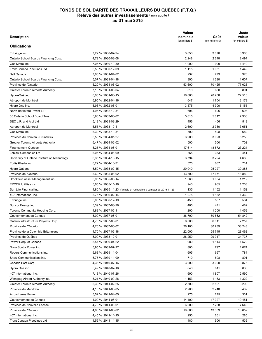| <b>Description</b>                            |                                                                  | Valeur<br>nominale<br>(en milliers \$) | Coût<br>(en milliers \$) | Juste<br>valeur<br>(en milliers \$) |
|-----------------------------------------------|------------------------------------------------------------------|----------------------------------------|--------------------------|-------------------------------------|
| Obligations                                   |                                                                  |                                        |                          |                                     |
| Enbridge inc.                                 | 7,22 % 2030-07-24                                                | 3 0 5 0                                | 3676                     | 3 9 8 5                             |
| Ontario School Boards Financing Corp.         | 4.79 % 2030-08-08                                                | 2 2 4 8                                | 2 2 4 8                  | 2 4 9 4                             |
| Gaz Métro inc.                                | 7,05 % 2030-10-30                                                | 1 0 0 0                                | 999                      | 1419                                |
| TransCanada PipeLines Ltd                     | 6,50 % 2030-12-09                                                | 1 1 1 5                                | 1 0 3 1                  | 1442                                |
| <b>Bell Canada</b>                            | 7,85 % 2031-04-02                                                | 237                                    | 273                      | 328                                 |
| Ontario School Boards Financing Corp.         | 5,07 % 2031-04-18                                                | 1 3 9 0                                | 1 3 9 0                  | 1 607                               |
| Province de l'Ontario                         | 6,20 % 2031-06-02                                                | 53 600                                 | 70 4 25                  | 77 028                              |
| <b>Greater Toronto Airports Authority</b>     | 7,10 % 2031-06-04                                                | 610                                    | 660                      | 891                                 |
| Hydro-Québec                                  | 6,00 % 2031-08-15                                                | 16 000                                 | 20 708                   | 22 513                              |
| Aéroport de Montréal                          | 6,95 % 2032-04-16                                                | 1647                                   | 1 7 0 4                  | 2 1 7 8                             |
| Hydro One inc.                                | 6,93 % 2032-06-01                                                | 3575                                   | 4 3 0 6                  | 5 1 5 5                             |
| North Battleford Power L.P.                   | 4,96 % 2032-12-31                                                | 606                                    | 606                      | 693                                 |
| 55 Ontario School Board Trust                 | 5,90 % 2033-06-02                                                | 5815                                   | 5812                     | 7936                                |
| SEC L.P. and Arci Ltd                         | 5,19 % 2033-08-29                                                | 456                                    | 456                      | 513                                 |
|                                               | 6,55 % 2033-10-11                                                | 2 600                                  | 2986                     |                                     |
| Aéroport de Montréal                          |                                                                  |                                        |                          | 3651                                |
| Gaz Métro inc.                                | 6,30 % 2033-10-31                                                | 500                                    | 498                      | 682                                 |
| Province du Nouveau-Brunswick                 | 5,50 % 2034-01-27                                                | 3 9 0 0                                | 3923                     | 5 2 5 8                             |
| <b>Greater Toronto Airports Authority</b>     | 6,47 % 2034-02-02                                                | 500                                    | 500                      | 702                                 |
| Financement-Québec                            | 5,25 % 2034-06-01                                                | 17614                                  | 18872                    | 23 224                              |
| Loblaw Companies Ltd                          | 6.05 % 2034-06-09                                                | 365                                    | 363                      | 441                                 |
| University of Ontario Institute of Technology | 6,35 % 2034-10-15                                                | 3794                                   | 3794                     | 4 6 6 8                             |
| FortisAlberta inc.                            | 6,22 % 2034-10-31                                                | 525                                    | 687                      | 714                                 |
| Hydro-Québec                                  | 6,50 % 2035-02-15                                                | 20 040                                 | 25 0 27                  | 30 385                              |
| Province de l'Ontario                         | 5,60 % 2035-06-02                                                | 13 500                                 | 17671                    | 18 880                              |
| Brookfield Asset Management inc.              | 5,95 % 2035-06-14                                                | 1 0 6 0                                | 1 0 5 4                  | 1 2 1 2                             |
| <b>EPCOR Utilities inc.</b>                   | 5,65 % 2035-11-16                                                | 940                                    | 965                      | 1 2 0 3                             |
| Sun Life Financial inc.                       | 4,80 % 2035-11-23 Variable et rachetable à compter du 2015-11-23 | 1 1 3 5                                | 1 1 5 2                  | 1 1 5 2                             |
| 407 International inc.                        | 5,75 % 2036-02-14                                                | 1075                                   | 1 1 3 2                  | 1 3 6 9                             |
| Enbridge inc.                                 | 5,08 % 2036-12-19                                                | 450                                    | 507                      | 534                                 |
| Suncor Energy inc.                            | 5,39 % 2037-03-26                                                | 405                                    | 471                      | 482                                 |
| Toronto Community Housing Corp.               | 4,88 % 2037-05-11                                                | 1 200                                  | 1 200                    | 1459                                |
| Gouvernement du Canada                        | 5,00 % 2037-06-01                                                | 36 700                                 | 50 862                   | 54 842                              |
| Ontario Infrastructure Projects Corp.         | 4,70 % 2037-06-01                                                | 6 0 0 0                                | 6011                     | 7 2 5 7                             |
| Province de l'Ontario                         | 4,70 % 2037-06-02                                                | 26 100                                 | 30 789                   | 33 243                              |
| Province de la Colombie-Britannique           | 4,70 % 2037-06-18                                                | 22 000                                 | 25 745                   | 28 4 62                             |
| Province de Québec                            | 5,00 % 2038-12-01                                                | 26 250                                 | 29 917                   | 34 737                              |
| Power Corp. of Canada                         | 8,57 % 2039-04-22                                                | 980                                    | 1 1 1 4                  | 1579                                |
| Nova Scotia Power inc.                        | 5,95 % 2039-07-27                                                | 800                                    | 797                      | 1 0 7 4                             |
| Rogers Communications inc.                    | 6,68 % 2039-11-04                                                | 605                                    | 667                      | 784                                 |
| Shaw Communications inc.                      | 6,75 % 2039-11-09                                                | 710                                    | 698                      | 891                                 |
| Canada Post Corp.                             | 4,36 % 2040-07-16                                                | 3 0 0 0                                | 3 0 0 0                  | 3875                                |
| Hydro One inc.                                | 5,49 % 2040-07-16                                                | 640                                    | 811                      | 836                                 |
| 407 International inc.                        | 7,13 % 2040-07-26                                                | 1690                                   | 1807                     | 2 5 9 0                             |
| Winnipeg Airport Authority inc.               | 5,21 % 2040-09-28                                                | 1 1 5 3                                | 1 1 5 3                  | 1 3 2 2                             |
| <b>Greater Toronto Airports Authority</b>     | 5,30 % 2041-02-25                                                | 2 500                                  | 2 501                    | 3 2 0 9                             |
| Province du Manitoba                          | 4,10 % 2041-03-05                                                | 2 9 0 0                                | 2740                     | 3 4 3 2                             |
| <b>Arrow Lakes Power</b>                      | 5,52 % 2041-04-05                                                | 275                                    | 275                      | 331                                 |
| Gouvernement du Canada                        | 4,00 % 2041-06-01                                                | 14 400                                 | 17927                    | 19 451                              |
| Province de Nouvelle Écosse                   | 4,70 % 2041-06-01                                                | 6 0 0 0                                | 7 2 6 8                  | 7649                                |
| Province de l'Ontario                         | 4,65 % 2041-06-02                                                | 10 600                                 | 13 389                   | 13 652                              |
| 407 International inc.                        | 4,45 % 2041-11-15                                                | 250                                    | 261                      | 285                                 |
| TransCanada PipeLines Ltd                     | 4,55 % 2041-11-15                                                | 480                                    | 500                      | 536                                 |
|                                               |                                                                  |                                        |                          |                                     |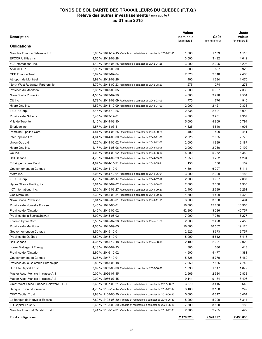| Description                                |                                                                  | Valeur<br>nominale<br>(en milliers \$) | Coût<br>(en milliers \$) | Juste<br>valeur<br>(en milliers \$) |
|--------------------------------------------|------------------------------------------------------------------|----------------------------------------|--------------------------|-------------------------------------|
| <b>Obligations</b>                         |                                                                  |                                        |                          |                                     |
| Manulife Finance Delaware L.P.             | 5.06 % 2041-12-15 Variable et rachetable à compter du 2036-12-15 | 1 0 0 0                                | 1 1 3 3                  | 1 1 1 6                             |
| <b>EPCOR Utilities inc.</b>                | 4,55 % 2042-02-28                                                | 3 500                                  | 3492                     | 4 0 1 2                             |
| 407 International inc.                     | 4,19 % 2042-04-25 Rachetable à compter du 2042-01-25             | 3 0 0 0                                | 2996                     | 3 2 9 8                             |
| AltaLink L.P.                              | 3,99 % 2042-06-30                                                | 880                                    | 897                      | 929                                 |
| <b>OPB Finance Trust</b>                   | 3,89 % 2042-07-04                                                | 2 3 2 0                                | 2 3 1 8                  | 2468                                |
| Aéroport de Montréal                       | 3,92 % 2042-09-26                                                | 1400                                   | 1 3 9 4                  | 1470                                |
| North West Redwater Partnership            | 3.70 % 2043-02-23 Rachetable à compter du 2042-08-23             | 275                                    | 274                      | 273                                 |
| Province du Manitoba                       | 3.35 % 2043-03-05                                                | 7 0 0 0                                | 6967                     | 7 3 6 9                             |
| Nova Scotia Power inc.                     | 4,50 % 2043-07-20                                                | 4 0 0 0                                | 3978                     | 4 5 0 4                             |
| $CU$ inc.                                  | 4,72 % 2043-09-09 Rachetable à compter du 2043-03-09             | 770                                    | 770                      | 910                                 |
| Hydro One inc.                             | 4,59 % 2043-10-09 Rachetable à compter du 2043-04-09             | 2 000                                  | 2421                     | 2 3 3 6                             |
| TELUS Corp.                                | 5,15 % 2043-11-26                                                | 2835                                   | 2821                     | 3 0 9 9                             |
| Province de l'Alberta                      | 3,45 % 2043-12-01                                                | 4 0 0 0                                | 3781                     | 4 3 5 7                             |
| Ville de Toronto                           | 4,15 % 2044-03-10                                                | 5 0 0 0                                | 4 9 6 9                  | 5 7 9 4                             |
| Enbridge inc.                              | 4,57 % 2044-03-11                                                | 4 8 2 5                                | 4 8 4 6                  | 4 9 0 5                             |
| Pembina Pipeline Corp.                     | 4,81 % 2044-03-25 Rachetable à compter du 2043-09-25             | 400                                    | 400                      | 411                                 |
| Inter Pipeline Ltd                         | 4,64 % 2044-05-30 Rachetable à compter du 2043-11-30             | 2625                                   | 2635                     | 2775                                |
| Union Gas Ltd                              | 4,20 % 2044-06-02 Rachetable à compter du 2043-12-02             | 2 000                                  | 1999                     | 2 187                               |
| Hydro One inc.                             | 4,17 % 2044-06-06 Rachetable à compter du 2043-12-06             | 2 0 0 0                                | 2 2 8 6                  | 2 1 9 2                             |
| CU inc.                                    | 4,09 % 2044-09-02 Rachetable à compter du 2044-03-02             | 5 0 0 0                                | 5 0 5 2                  | 5 3 5 9                             |
| <b>Bell Canada</b>                         |                                                                  | 1 2 5 0                                | 1 2 6 2                  | 1 2 9 4                             |
|                                            | 4,75 % 2044-09-29 Rachetable à compter du 2044-03-29             |                                        |                          |                                     |
| Enbridge Income Fund                       | 4,87 % 2044-11-21 Rachetable à compter du 2044-05-21             | 150                                    | 150                      | 162                                 |
| Gouvernement du Canada                     | 1,50 % 2044-12-01                                                | 4 801                                  | 6 0 0 7                  | 6 1 1 4                             |
| Metro inc.                                 | 5,03 % 2044-12-01 Rachetable à compter du 2044-06-01             | 3 0 0 0                                | 2999                     | 3 1 8 3                             |
| TELUS Corp.                                | 4,75 % 2045-01-17 Rachetable à compter du 2044-07-17             | 2 0 0 0                                | 1987                     | 2 0 6 7                             |
| Hydro Ottawa Holding inc.                  | 3,64 % 2045-02-02 Rachetable à compter du 2044-08-02             | 2 0 0 0                                | 2 0 0 0                  | 1935                                |
| 407 International inc.                     | 3,30 % 2045-03-27 Rachetable à compter du 2044-09-27             | 2400                                   | 2 3 9 9                  | 2 2 6 1                             |
| Gaz Métro inc.                             | 3,30 % 2045-03-31 Rachetable à compter du 2044-09-30             | 1 500                                  | 1499                     | 1420                                |
| Nova Scotia Power inc.                     | 3,61 % 2045-05-01 Rachetable à compter du 2044-11-01             | 3 600                                  | 3 600                    | 3 4 9 4                             |
| Province de Nouvelle Écosse                | 3,45 % 2045-06-01                                                | 16 000                                 | 15 868                   | 16 960                              |
| Province de l'Ontario                      | 3,45 % 2045-06-02                                                | 42 300                                 | 43 286                   | 45 757                              |
| Province de la Saskatchewan                | 3,90 % 2045-06-02                                                | 7 0 0 0                                | 7 0 5 6                  | 8 2 7 7                             |
| Toronto Hydro Corp.                        | 3,55 % 2045-07-28 Rachetable à compter du 2045-01-28             | 2 500                                  | 2498                     | 2456                                |
| Province du Manitoba                       | 4,05 % 2045-09-05                                                | 16 000                                 | 16 562                   | 19 120                              |
| Gouvernement du Canada                     | 3,50 % 2045-12-01                                                | 2920                                   | 3673                     | 3757                                |
| Province de Québec                         | 3,50 % 2045-12-01                                                | 5 0 0 0                                | 5612                     | 5415                                |
| <b>Bell Canada</b>                         | 4,35 % 2045-12-18 Rachetable à compter du 2045-06-18             | 2 100                                  | 2 0 9 1                  | 2029                                |
| Lower Mattagami Energy                     | 4,18 % 2046-02-23                                                | 380                                    | 380                      | 413                                 |
| Province de l'Ontario                      | 2,90 % 2046-12-02                                                | 4 500                                  | 4 4 7 7                  | 4 3 8 1                             |
| Gouvernement du Canada                     | 1,25 % 2047-12-01                                                | 5 3 2 6                                | 5770                     | 6469                                |
| Province de la Colombie-Britannique        | 2,80 % 2048-06-18                                                | 7950                                   | 7885                     | 7740                                |
| Sun Life Capital Trust                     | 7,09 % 2052-06-30 Rachetable à compter du 2032-06-30             | 1 3 9 0                                | 1517                     | 1879                                |
| Master Asset Vehicle II, classe A-1        | 0.00 % 2056-07-15                                                | 2969                                   | 2 9 8 4                  | 2838                                |
| Master Asset Vehicle II, classe A-2        | 0,00 % 2056-07-15                                                | 9 1 4 1                                | 9 1 8 4                  | 8496                                |
| Great-West Lifeco Finance Delaware L.P. II | 5,69 % 2067-06-21 Variable et rachetable à compter du 2017-06-21 | 3 370                                  | 3415                     | 3648                                |
| <b>Banque Toronto-Dominion</b>             | 4,78 % 2105-12-14 Variable et rachetable à compter du 2016-12-14 | 3 100                                  | 3 1 8 8                  | 3 2 4 9                             |
| <b>CIBC Capital Trust</b>                  | 9,98 % 2108-06-30 Variable et rachetable à compter du 2019-06-30 | 5 0 0 0                                | 6617                     | 6464                                |
| La Banque de Nouvelle-Écosse               | 7,80 % 2108-06-30 Variable et rachetable à compter du 2019-06-30 | 5 200                                  | 5 200                    | 6314                                |
| TD Capital Trust IV                        | 6,63 % 2108-06-30 Variable et rachetable à compter du 2021-06-30 | 7 500                                  | 8 5 8 0                  | 9 1 8 6                             |
| Manulife Financial Capital Trust II        | 7,41 % 2108-12-31 Variable et rachetable à compter du 2019-12-31 | 2 785                                  | 2 785                    | 3422                                |
|                                            |                                                                  |                                        |                          |                                     |
| <b>Total - obligations</b>                 |                                                                  | 2 179 323                              | 2 3 2 0 0 9 7            | 2 438 033                           |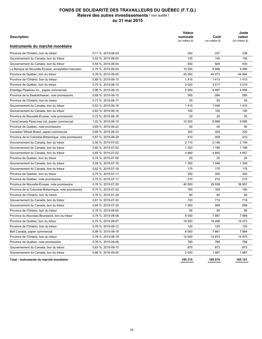| <b>Description</b>                                    |                   | Valeur<br>nominale<br>(en milliers \$) | Coût<br>(en milliers \$) | Juste<br>valeur<br>(en milliers \$) |
|-------------------------------------------------------|-------------------|----------------------------------------|--------------------------|-------------------------------------|
| Instruments du marché monétaire                       |                   |                                        |                          |                                     |
| Province de l'Ontario, bon du trésor                  | 0.71 % 2015-06-03 | 240                                    | 237                      | 238                                 |
| Gouvernement du Canada, bon du trésor                 | 0.52 % 2015-06-04 | 145                                    | 145                      | 145                                 |
| Gouvernement du Canada, bon du trésor                 | 0.54 % 2015-06-04 | 930                                    | 929                      | 930                                 |
| La Banque de Nouvelle-Écosse, acceptation bancaire    | 0,79 % 2015-06-04 | 10 000                                 | 9999                     | 9999                                |
| Province de Québec, bon du trésor                     | 0,76 % 2015-06-05 | 45 000                                 | 44 973                   | 44 994                              |
| Province de l'Ontario, bon du trésor                  | 0.68 % 2015-06-10 | 1415                                   | 1413                     | 1415                                |
| Province de Québec, bon du trésor                     | 0.70 % 2015-06-12 | 3 0 2 0                                | 3017                     | 3019                                |
| Enbridge Pipelines inc., papier commercial            | 0.96 % 2015-06-15 | 5 0 0 0                                | 4 9 9 7                  | 4 9 9 8                             |
| Province de la Saskatchewan, note promissoire         | 0,69 % 2015-06-15 | 585                                    | 584                      | 585                                 |
| Province de l'Ontario, bon du trésor                  | 0,71 % 2015-06-17 | 55                                     | 55                       | 55                                  |
| Gouvernement du Canada, bon du trésor                 | 0,53 % 2015-06-18 | 1410                                   | 1408                     | 1410                                |
| Gouvernement du Canada, bon du trésor                 | 0.63 % 2015-06-18 | 100                                    | 100                      | 100                                 |
| Province de Nouvelle-Écosse, note promissoire         | 0.72 % 2015-06-18 | 20                                     | 20                       | 20                                  |
| TransCanada PipeLines Ltd, papier commercial          | 1,02 % 2015-06-19 | 10 000                                 | 9988                     | 9995                                |
| Province de Québec, note promissoire                  | 0.69 % 2015-06-22 | 50                                     | 50                       | 50                                  |
| Canadian Wheat Board, papier commercial               | 0,69 % 2015-06-23 | 320                                    | 320                      | 320                                 |
| Province de la Colombie-Britannique, note promissoire | 0,67 % 2015-06-29 | 410                                    | 409                      | 410                                 |
| Gouvernement du Canada, bon du trésor                 | 0.58 % 2015-07-02 | 2 1 1 0                                | 2 106                    | 2 109                               |
| Gouvernement du Canada, bon du trésor                 | 0.60 % 2015-07-02 | 1 200                                  | 1 1 9 8                  | 1 1 9 9                             |
| Gouvernement du Canada, bon du trésor                 | 0,65 % 2015-07-02 | 4 8 6 0                                | 4 8 5 5                  | 4 8 5 7                             |
| Province de Québec, bon du trésor                     | 0.74 % 2015-07-06 | 20                                     | 20                       | 20                                  |
| Gouvernement du Canada, bon du trésor                 | 0,59 % 2015-07-16 | 1 3 5 0                                | 1 3 4 8                  | 1 3 4 9                             |
| Gouvernement du Canada, bon du trésor                 | 0,62 % 2015-07-16 | 175                                    | 175                      | 175                                 |
| Province de Québec, bon du trésor                     | 0,75 % 2015-07-17 | 350                                    | 350                      | 350                                 |
| Province de Québec, note promissoire                  | 0,75 % 2015-07-17 | 210                                    | 210                      | 210                                 |
| Province de Nouvelle-Écosse, note promissoire         | 0,76 % 2015-07-20 | 40 000                                 | 39 938                   | 39 957                              |
| Province de la Colombie-Britannique, note promissoire | 0,75 % 2015-07-22 | 160                                    | 160                      | 160                                 |
| Province de l'Ontario, bon du trésor                  | 0,76 % 2015-07-29 | 80                                     | 80                       | 80                                  |
| Gouvernement du Canada, bon du trésor                 | 0,61 % 2015-07-30 | 720                                    | 719                      | 719                                 |
| Gouvernement du Canada, bon du trésor                 | 0,64 % 2015-07-30 | 1 000                                  | 999                      | 999                                 |
| Province de l'Ontario, bon du trésor                  | 0.76 % 2015-08-05 | 95                                     | 95                       | 95                                  |
| Province du Nouveau-Brunswick, bon du trésor          | 0.76 % 2015-08-06 | 8 0 0 0                                | 7987                     | 7989                                |
| Province de Québec, bon du trésor                     | 0.75 % 2015-08-07 | 19 500                                 | 19 4 68                  | 19 473                              |
| Province de l'Ontario, bon du trésor                  | 0.76 % 2015-08-12 | 120                                    | 120                      | 120                                 |
| Bell Canada, papier commercial                        | 0,98 % 2015-08-18 | 8 0 0 0                                | 7981                     | 7984                                |
| Province de l'Ontario, bon du trésor                  | 0.76 % 2015-08-19 | 15 000                                 | 14 973                   | 14 975                              |
| Province de Québec, note promissoire                  | 0,76 % 2015-09-08 | 790                                    | 788                      | 788                                 |
| Gouvernement du Canada, bon du trésor                 | 0,63 % 2015-09-10 | 875                                    | 873                      | 873                                 |
| Gouvernement du Canada, bon du trésor                 | 0.66 % 2016-05-05 | 2 000                                  | 1987                     | 1987                                |
| Total - instruments du marché monétaire               |                   | 185 315                                | 185 074                  | 185 151                             |